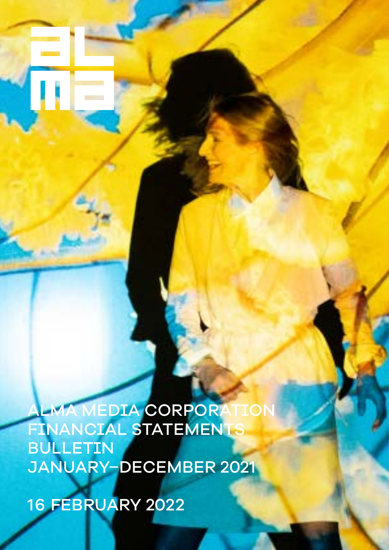ALMA MEDIA CORPORATION FINANCIAL STATEMENTS BULLETIN JANUARY–DECEMBER 2021

16 FEBRUARY 2022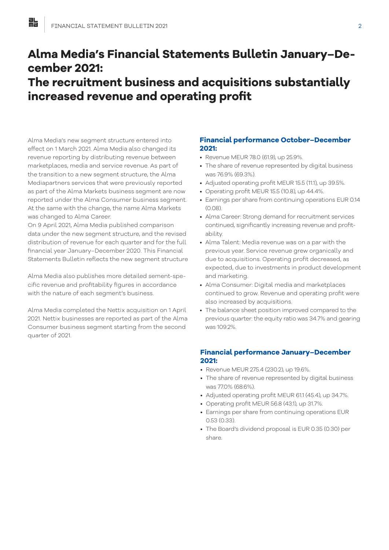# **Alma Media's Financial Statements Bulletin January–December 2021: The recruitment business and acquisitions substantially increased revenue and operating profit**

Alma Media's new segment structure entered into effect on 1 March 2021. Alma Media also changed its revenue reporting by distributing revenue between marketplaces, media and service revenue. As part of the transition to a new segment structure, the Alma Mediapartners services that were previously reported as part of the Alma Markets business segment are now reported under the Alma Consumer business segment. At the same with the change, the name Alma Markets was changed to Alma Career.

On 9 April 2021, Alma Media published comparison data under the new segment structure, and the revised distribution of revenue for each quarter and for the full financial year January–December 2020. This Financial Statements Bulletin reflects the new segment structure

Alma Media also publishes more detailed sement-specific revenue and profitability figures in accordance with the nature of each segment's business.

Alma Media completed the Nettix acquisition on 1 April 2021. Nettix businesses are reported as part of the Alma Consumer business segment starting from the second quarter of 2021.

# **Financial performance October–December 2021:**

- Revenue MEUR 78.0 (61.9), up 25.9%.
- The share of revenue represented by digital business was 76.9% (69.3%).
- Adjusted operating profit MEUR 15.5 (11.1), up 39.5%.
- Operating profit MEUR 15.5 (10.8), up 44.4%.
- Earnings per share from continuing operations EUR 0.14  $(0.08)$
- Alma Career: Strong demand for recruitment services continued, significantly increasing revenue and profitability.
- Alma Talent: Media revenue was on a par with the previous year. Service revenue grew organically and due to acquisitions. Operating profit decreased, as expected, due to investments in product development and marketing.
- Alma Consumer: Digital media and marketplaces continued to grow. Revenue and operating profit were also increased by acquisitions.
- The balance sheet position improved compared to the previous quarter: the equity ratio was 34.7% and gearing was 109.2%.

# **Financial performance January–December 2021:**

- Revenue MEUR 275.4 (230.2), up 19.6%.
- The share of revenue represented by digital business was 77.0% (68.6%).
- Adjusted operating profit MEUR 61.1 (45.4), up 34.7%.
- Operating profit MEUR 56.8 (43.1), up 31.7%.
- Earnings per share from continuing operations EUR 0.53 (0.33).
- The Board's dividend proposal is EUR 0.35 (0.30) per share.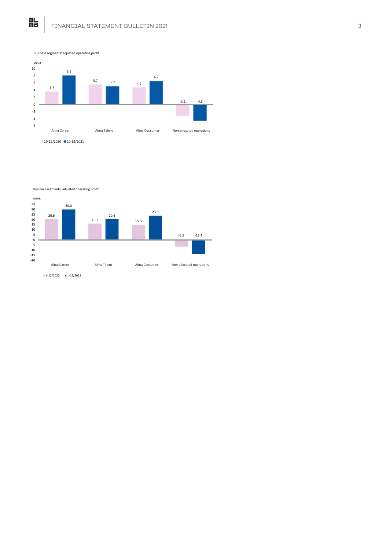

Business segments' adjusted operating profit



 $1-12/2020$  1-12/2021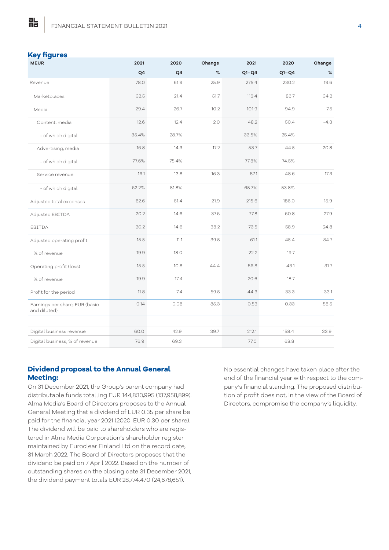# **Key figures**

點

| <b>MEUR</b>                                    | 2021  | 2020           | Change | 2021    | 2020    | Change |
|------------------------------------------------|-------|----------------|--------|---------|---------|--------|
|                                                | Q4    | Q <sub>4</sub> | %      | $Q1-Q4$ | $Q1-Q4$ | %      |
| Revenue                                        | 78.0  | 61.9           | 25.9   | 275.4   | 230.2   | 19.6   |
| Marketplaces                                   | 32.5  | 21.4           | 51.7   | 116.4   | 86.7    | 34.2   |
| Media                                          | 29.4  | 26.7           | 10.2   | 101.9   | 94.9    | 7.5    |
| Content, media                                 | 12.6  | 12.4           | 2.0    | 48.2    | 50.4    | $-4.3$ |
| - of which digital                             | 35.4% | 28.7%          |        | 33.5%   | 25.4%   |        |
| Advertising, media                             | 16.8  | 14.3           | 17.2   | 53.7    | 44.5    | 20.8   |
| - of which digital                             | 77.6% | 75.4%          |        | 77.8%   | 74.5%   |        |
| Service revenue                                | 16.1  | 13.8           | 16.3   | 57.1    | 48.6    | 17.3   |
| - of which digital                             | 62.2% | 51.8%          |        | 65.7%   | 53.8%   |        |
| Adjusted total expenses                        | 62.6  | 51.4           | 21.9   | 215.6   | 186.0   | 15.9   |
| Adjusted EBITDA                                | 20.2  | 14.6           | 37.6   | 77.8    | 60.8    | 27.9   |
| EBITDA                                         | 20.2  | 14.6           | 38.2   | 73.5    | 58.9    | 24.8   |
| Adjusted operating profit                      | 15.5  | 11.1           | 39.5   | 61.1    | 45.4    | 34.7   |
| % of revenue                                   | 19.9  | 18.0           |        | 22.2    | 19.7    |        |
| Operating profit (loss)                        | 15.5  | 10.8           | 44.4   | 56.8    | 43.1    | 31.7   |
| % of revenue                                   | 19.9  | 17.4           |        | 20.6    | 18.7    |        |
| Profit for the period                          | 11.8  | 7.4            | 59.5   | 44.3    | 33.3    | 33.1   |
| Earnings per share, EUR (basic<br>and diluted) | 0.14  | 0.08           | 85.3   | 0.53    | 0.33    | 58.5   |
|                                                |       |                |        |         |         |        |
| Digital business revenue                       | 60.0  | 42.9           | 39.7   | 212.1   | 158.4   | 33.9   |
| Digital business, % of revenue                 | 76.9  | 69.3           |        | 77.0    | 68.8    |        |

# **Dividend proposal to the Annual General Meeting:**

On 31 December 2021, the Group's parent company had distributable funds totalling EUR 144,833,995 (137,958,899). Alma Media's Board of Directors proposes to the Annual General Meeting that a dividend of EUR 0.35 per share be paid for the financial year 2021 (2020: EUR 0.30 per share). The dividend will be paid to shareholders who are registered in Alma Media Corporation's shareholder register maintained by Euroclear Finland Ltd on the record date, 31 March 2022. The Board of Directors proposes that the dividend be paid on 7 April 2022. Based on the number of outstanding shares on the closing date 31 December 2021, the dividend payment totals EUR 28,774,470 (24,678,651).

No essential changes have taken place after the end of the financial year with respect to the company's financial standing. The proposed distribution of profit does not, in the view of the Board of Directors, compromise the company's liquidity.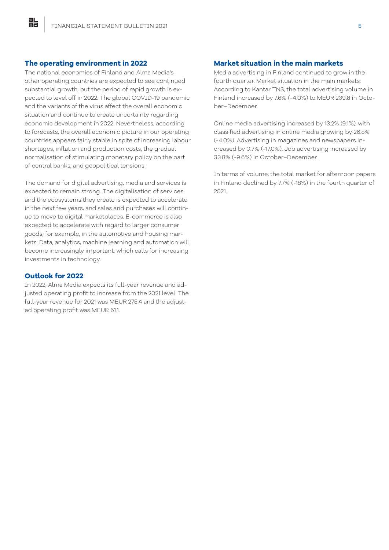#### **The operating environment in 2022**

點

The national economies of Finland and Alma Media's other operating countries are expected to see continued substantial growth, but the period of rapid growth is expected to level off in 2022. The global COVID-19 pandemic and the variants of the virus affect the overall economic situation and continue to create uncertainty regarding economic development in 2022. Nevertheless, according to forecasts, the overall economic picture in our operating countries appears fairly stable in spite of increasing labour shortages, inflation and production costs, the gradual normalisation of stimulating monetary policy on the part of central banks, and geopolitical tensions.

The demand for digital advertising, media and services is expected to remain strong. The digitalisation of services and the ecosystems they create is expected to accelerate in the next few years, and sales and purchases will continue to move to digital marketplaces. E-commerce is also expected to accelerate with regard to larger consumer goods; for example, in the automotive and housing markets. Data, analytics, machine learning and automation will become increasingly important, which calls for increasing investments in technology.

# **Outlook for 2022**

In 2022, Alma Media expects its full-year revenue and adjusted operating profit to increase from the 2021 level. The full-year revenue for 2021 was MEUR 275.4 and the adjusted operating profit was MEUR 61.1.

# **Market situation in the main markets**

Media advertising in Finland continued to grow in the fourth quarter. Market situation in the main markets. According to Kantar TNS, the total advertising volume in Finland increased by 7.6% (-4.0%) to MEUR 239.8 in October–December.

Online media advertising increased by 13.2% (9.1%), with classified advertising in online media growing by 26.5% (-4.0%). Advertising in magazines and newspapers increased by 0.7% (-17.0%). Job advertising increased by 33.8% (-9.6%) in October–December.

In terms of volume, the total market for afternoon papers in Finland declined by 7.7% (-18%) in the fourth quarter of 2021.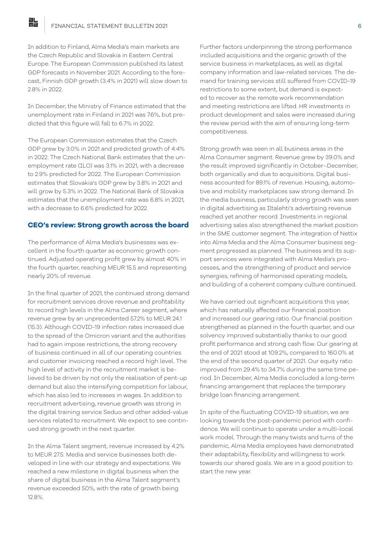點

In addition to Finland, Alma Media's main markets are the Czech Republic and Slovakia in Eastern Central Europe. The European Commission published its latest GDP forecasts in November 2021. According to the forecast, Finnish GDP growth (3.4% in 2021) will slow down to 2.8% in 2022.

In December, the Ministry of Finance estimated that the unemployment rate in Finland in 2021 was 7.6%, but predicted that this figure will fall to 6.7% in 2022.

The European Commission estimates that the Czech GDP grew by 3.0% in 2021 and predicted growth of 4.4% in 2022. The Czech National Bank estimates that the unemployment rate (ILO) was 3.1% in 2021, with a decrease to 2.9% predicted for 2022. The European Commission estimates that Slovakia's GDP grew by 3.8% in 2021 and will grow by 5.3% in 2022. The National Bank of Slovakia estimates that the unemployment rate was 6.8% in 2021, with a decrease to 6.6% predicted for 2022.

## **CEO's review: Strong growth across the board**

The performance of Alma Media's businesses was excellent in the fourth quarter as economic growth continued. Adjusted operating profit grew by almost 40% in the fourth quarter, reaching MEUR 15.5 and representing nearly 20% of revenue.

In the final quarter of 2021, the continued strong demand for recruitment services drove revenue and profitability to record high levels in the Alma Career segment, where revenue grew by an unprecedented 57.2% to MEUR 24.1 (15.3). Although COVID-19 infection rates increased due to the spread of the Omicron variant and the authorities had to again impose restrictions, the strong recovery of business continued in all of our operating countries and customer invoicing reached a record high level. The high level of activity in the recruitment market is believed to be driven by not only the realisation of pent-up demand but also the intensifying competition for labour, which has also led to increases in wages. In addition to recruitment advertising, revenue growth was strong in the digital training service Seduo and other added-value services related to recruitment. We expect to see continued strong growth in the next quarter.

In the Alma Talent segment, revenue increased by 4.2% to MEUR 27.5. Media and service businesses both developed in line with our strategy and expectations. We reached a new milestone in digital business when the share of digital business in the Alma Talent segment's revenue exceeded 50%, with the rate of growth being 12.8%.

Further factors underpinning the strong performance included acquisitions and the organic growth of the service business in marketplaces, as well as digital company information and law-related services. The demand for training services still suffered from COVID-19 restrictions to some extent, but demand is expected to recover as the remote work recommendation and meeting restrictions are lifted. HR investments in product development and sales were increased during the review period with the aim of ensuring long-term competitiveness.

Strong growth was seen in all business areas in the Alma Consumer segment. Revenue grew by 39.0% and the result improved significantly in October–December, both organically and due to acquisitions. Digital business accounted for 89.1% of revenue. Housing, automotive and mobility marketplaces saw strong demand. In the media business, particularly strong growth was seen in digital advertising as Iltalehti's advertising revenue reached yet another record. Investments in regional advertising sales also strengthened the market position in the SME customer segment. The integration of Nettix into Alma Media and the Alma Consumer business segment progressed as planned. The business and its support services were integrated with Alma Media's processes, and the strengthening of product and service synergies, refining of harmonised operating models, and building of a coherent company culture continued.

We have carried out significant acquisitions this year, which has naturally affected our financial position and increased our gearing ratio. Our financial position strengthened as planned in the fourth quarter, and our solvency improved substantially thanks to our good profit performance and strong cash flow. Our gearing at the end of 2021 stood at 109.2%, compared to 160.0% at the end of the second quarter of 2021. Our equity ratio improved from 29.4% to 34.7% during the same time period. In December, Alma Media concluded a long-term financing arrangement that replaces the temporary bridge loan financing arrangement.

In spite of the fluctuating COVID-19 situation, we are looking towards the post-pandemic period with confidence. We will continue to operate under a multi-local work model. Through the many twists and turns of the pandemic, Alma Media employees have demonstrated their adaptability, flexibility and willingness to work towards our shared goals. We are in a good position to start the new year.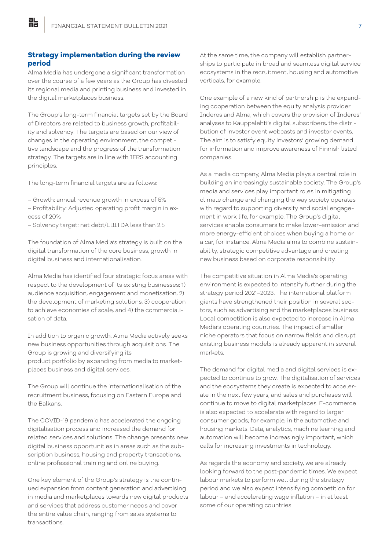點

# **Strategy implementation during the review period**

Alma Media has undergone a significant transformation over the course of a few years as the Group has divested its regional media and printing business and invested in the digital marketplaces business.

The Group's long-term financial targets set by the Board of Directors are related to business growth, profitability and solvency. The targets are based on our view of changes in the operating environment, the competitive landscape and the progress of the transformation strategy. The targets are in line with IFRS accounting principles.

The long-term financial targets are as follows:

- Growth: annual revenue growth in excess of 5% – Profitability: Adjusted operating profit margin in excess of 20%
- Solvency target: net debt/EBITDA less than 2.5

The foundation of Alma Media's strategy is built on the digital transformation of the core business, growth in digital business and internationalisation.

Alma Media has identified four strategic focus areas with respect to the development of its existing businesses: 1) audience acquisition, engagement and monetisation, 2) the development of marketing solutions, 3) cooperation to achieve economies of scale, and 4) the commercialisation of data.

In addition to organic growth, Alma Media actively seeks new business opportunities through acquisitions. The Group is growing and diversifying its product portfolio by expanding from media to marketplaces business and digital services.

The Group will continue the internationalisation of the recruitment business, focusing on Eastern Europe and the Balkans.

The COVID-19 pandemic has accelerated the ongoing digitalisation process and increased the demand for related services and solutions. The change presents new digital business opportunities in areas such as the subscription business, housing and property transactions, online professional training and online buying.

One key element of the Group's strategy is the continued expansion from content generation and advertising in media and marketplaces towards new digital products and services that address customer needs and cover the entire value chain, ranging from sales systems to transactions.

At the same time, the company will establish partnerships to participate in broad and seamless digital service ecosystems in the recruitment, housing and automotive verticals, for example.

One example of a new kind of partnership is the expanding cooperation between the equity analysis provider Inderes and Alma, which covers the provision of Inderes' analyses to Kauppalehti's digital subscribers, the distribution of investor event webcasts and investor events. The aim is to satisfy equity investors' growing demand for information and improve awareness of Finnish listed companies.

As a media company, Alma Media plays a central role in building an increasingly sustainable society. The Group's media and services play important roles in mitigating climate change and changing the way society operates with regard to supporting diversity and social engagement in work life, for example. The Group's digital services enable consumers to make lower-emission and more energy-efficient choices when buying a home or a car, for instance. Alma Media aims to combine sustainability, strategic competitive advantage and creating new business based on corporate responsibility.

The competitive situation in Alma Media's operating environment is expected to intensify further during the strategy period 2021–2023. The international platform giants have strengthened their position in several sectors, such as advertising and the marketplaces business. Local competition is also expected to increase in Alma Media's operating countries. The impact of smaller niche operators that focus on narrow fields and disrupt existing business models is already apparent in several markets.

The demand for digital media and digital services is expected to continue to grow. The digitalisation of services and the ecosystems they create is expected to accelerate in the next few years, and sales and purchases will continue to move to digital marketplaces. E-commerce is also expected to accelerate with regard to larger consumer goods; for example, in the automotive and housing markets. Data, analytics, machine learning and automation will become increasingly important, which calls for increasing investments in technology.

As regards the economy and society, we are already looking forward to the post-pandemic times. We expect labour markets to perform well during the strategy period and we also expect intensifying competition for labour – and accelerating wage inflation – in at least some of our operating countries.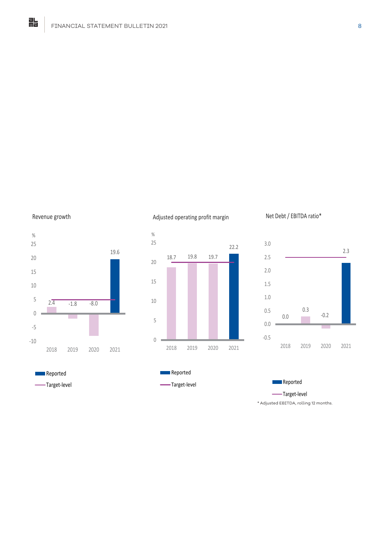Revenue growth



# Adjusted operating profit margin



# Net Debt / EBITDA ratio\*





**Reported** 

Target-level

# **Reported** Target-level

\* Adjusted EBITDA, rolling 12 months.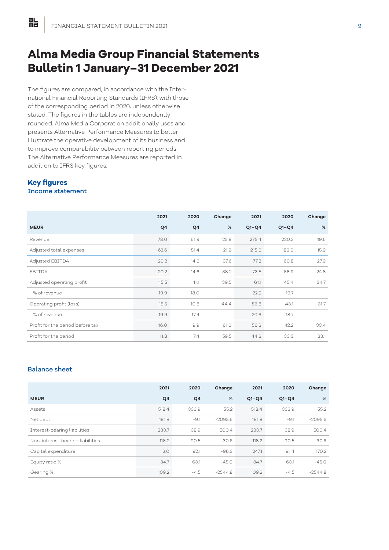# **Alma Media Group Financial Statements Bulletin 1 January–31 December 2021**

The figures are compared, in accordance with the International Financial Reporting Standards (IFRS), with those of the corresponding period in 2020, unless otherwise stated. The figures in the tables are independently rounded. Alma Media Corporation additionally uses and presents Alternative Performance Measures to better illustrate the operative development of its business and to improve comparability between reporting periods. The Alternative Performance Measures are reported in addition to IFRS key figures.

#### **Key figures** Income statement

|                                  | 2021 | 2020 | Change | 2021    | 2020    | Change |
|----------------------------------|------|------|--------|---------|---------|--------|
| <b>MEUR</b>                      | Q4   | Q4   | %      | $Q1-Q4$ | $Q1-Q4$ | %      |
| Revenue                          | 78.0 | 61.9 | 25.9   | 275.4   | 230.2   | 19.6   |
| Adjusted total expenses          | 62.6 | 51.4 | 21.9   | 215.6   | 186.0   | 15.9   |
| Adjusted EBITDA                  | 20.2 | 14.6 | 37.6   | 77.8    | 60.8    | 27.9   |
| EBITDA                           | 20.2 | 14.6 | 38.2   | 73.5    | 58.9    | 24.8   |
| Adjusted operating profit        | 15.5 | 11.1 | 39.5   | 61.1    | 45.4    | 34.7   |
| % of revenue                     | 19.9 | 18.0 |        | 22.2    | 19.7    |        |
| Operating profit (loss)          | 15.5 | 10.8 | 44.4   | 56.8    | 43.1    | 31.7   |
| % of revenue                     | 19.9 | 17.4 |        | 20.6    | 18.7    |        |
| Profit for the period before tax | 16.0 | 9.9  | 61.0   | 56.3    | 42.2    | 33.4   |
| Profit for the period            | 11.8 | 7.4  | 59.5   | 44.3    | 33.3    | 33.1   |

# Balance sheet

|                                  | 2021  | 2020   | Change    | 2021    | 2020    | Change    |
|----------------------------------|-------|--------|-----------|---------|---------|-----------|
| <b>MEUR</b>                      | Q4    | Q4     | %         | $Q1-Q4$ | $Q1-Q4$ | %         |
| Assets                           | 518.4 | 333.9  | 55.2      | 518.4   | 333.9   | 55.2      |
| Net debt                         | 181.8 | $-9.1$ | $-2095.6$ | 181.8   | $-9.1$  | $-2095.6$ |
| Interest-bearing liabilities     | 233.7 | 38.9   | 500.4     | 233.7   | 38.9    | 500.4     |
| Non-interest-bearing liabilities | 118.2 | 90.5   | 30.6      | 118.2   | 90.5    | 30.6      |
| Capital expenditure              | 3.0   | 82.1   | $-96.3$   | 247.1   | 91.4    | 170.2     |
| Equity ratio %                   | 34.7  | 63.1   | $-45.0$   | 34.7    | 63.1    | $-45.0$   |
| Gearing %                        | 109.2 | $-4.5$ | $-2544.8$ | 109.2   | $-4.5$  | $-2544.8$ |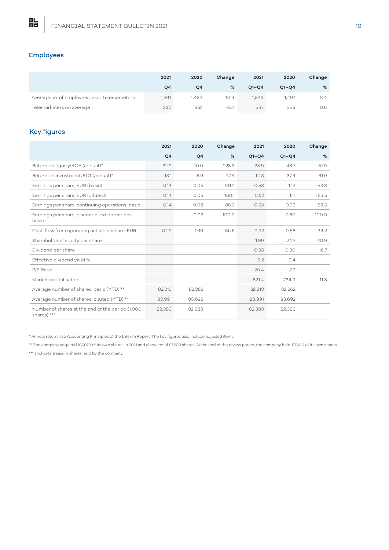# Employees

|                                               | 2021  | 2020  | Change | 2021      | 2020      | Change |
|-----------------------------------------------|-------|-------|--------|-----------|-----------|--------|
|                                               | Q4    | Q4    | %      | $Q1 - Q4$ | $O1 - O4$ | %      |
| Average no. of employees, excl. telemarketers | 1,591 | 1,434 | 10.9   | 1,549     | 1,497     | 3.4    |
| Telemarketers on average                      | 332   | 352   | -5.7   | 337       | 335       | 0.6    |

# Key figures

|                                                                 | 2021   | 2020    | Change   | 2021    | 2020    | Change   |
|-----------------------------------------------------------------|--------|---------|----------|---------|---------|----------|
|                                                                 | Q4     | Q4      | %        | $Q1-Q4$ | $Q1-Q4$ | %        |
| Return on equity/ROE (annual)*                                  | 32.9   | 10.0    | 228.3    | 23.9    | 48.7    | $-51.0$  |
| Return on investment/ROI (annual)*                              | 13.1   | 8.9     | 47.4     | 14.3    | 37.4    | $-61.9$  |
| Earnings per share, EUR (basic)                                 | 0.14   | 0.05    | 161.2    | 0.53    | 1.13    | $-53.3$  |
| Earnings per share, EUR (diluted)                               | 0.14   | 0.05    | 160.1    | 0.52    | 1.11    | $-53.5$  |
| Earnings per share, continuing operations, basic                | 0.14   | 0.08    | 85.3     | 0.53    | 0.33    | 58.5     |
| Earnings per share, discontinued operations,<br>basic           |        | $-0.02$ | $-100.0$ |         | 0.80    | $-100.0$ |
| Cash flow from operating activities/share, EUR                  | 0.29   | 0.19    | 56.6     | 0.92    | 0.68    | 34.2     |
| Shareholders' equity per share                                  |        |         |          | 1.99    | 2.23    | $-10.9$  |
| Dividend per share                                              |        |         |          | 0.35    | 0.30    | 16.7     |
| Effective dividend yield %                                      |        |         |          | 3.2     | 3.4     |          |
| P/E Ratio                                                       |        |         |          | 20.4    | 7.9     |          |
| Market capitalisation                                           |        |         |          | 821.4   | 734.9   | 11.8     |
| Average number of shares, basic (YTD) **                        | 82,213 | 82,262  |          | 82,213  | 82,262  |          |
| Average number of shares, diluted (YTD) **                      | 83,991 | 83,692  |          | 83,991  | 83,692  |          |
| Number of shares at the end of the period (1,000<br>shares) *** | 82,383 | 82,383  |          | 82,383  | 82,383  |          |

\* Annual return, see Accounting Principles of the Interim Report. The key figures also include adjusted items.

\*\* The company acquired 107,029 of its own shares in 2021 and disposed of 57,630 shares. At the end of the review period, the company held 170,410 of its own shares.

\*\*\* Includes treasury shares held by the company.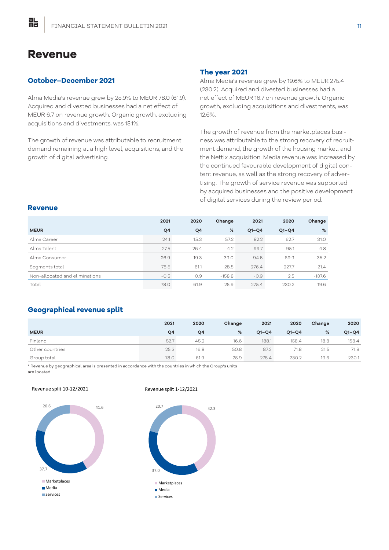# **Revenue**

點

#### **October–December 2021**

Alma Media's revenue grew by 25.9% to MEUR 78.0 (61.9). Acquired and divested businesses had a net effect of MEUR 6.7 on revenue growth. Organic growth, excluding acquisitions and divestments, was 15.1%.

The growth of revenue was attributable to recruitment demand remaining at a high level, acquisitions, and the growth of digital advertising.

### **The year 2021**

Alma Media's revenue grew by 19.6% to MEUR 275.4 (230.2). Acquired and divested businesses had a net effect of MEUR 16.7 on revenue growth. Organic growth, excluding acquisitions and divestments, was 12.6%.

The growth of revenue from the marketplaces business was attributable to the strong recovery of recruitment demand, the growth of the housing market, and the Nettix acquisition. Media revenue was increased by the continued favourable development of digital content revenue, as well as the strong recovery of advertising. The growth of service revenue was supported by acquired businesses and the positive development of digital services during the review period.

#### **Revenue**

|                                | 2021   | 2020 | Change   | 2021    | 2020    | Change   |
|--------------------------------|--------|------|----------|---------|---------|----------|
| <b>MEUR</b>                    | Q4     | Q4   | %        | $Q1-Q4$ | $Q1-Q4$ | %        |
| Alma Career                    | 24.1   | 15.3 | 57.2     | 82.2    | 62.7    | 31.0     |
| Alma Talent                    | 27.5   | 26.4 | 4.2      | 99.7    | 95.1    | 4.8      |
| Alma Consumer                  | 26.9   | 19.3 | 39.0     | 94.5    | 69.9    | 35.2     |
| Segments total                 | 78.5   | 61.1 | 28.5     | 276.4   | 227.7   | 21.4     |
| Non-allocated and eliminations | $-0.5$ | 0.9  | $-158.8$ | $-0.9$  | 2.5     | $-137.6$ |
| Total                          | 78.0   | 61.9 | 25.9     | 275.4   | 230.2   | 19.6     |

#### **Geographical revenue split**

|                 | 2021 | 2020 | Change | 2021    | 2020    | Change | 2020    |
|-----------------|------|------|--------|---------|---------|--------|---------|
| <b>MEUR</b>     | Q4   | Q4   | %      | $Q1-Q4$ | $Q1-Q4$ | %      | $Q1-Q4$ |
| Finland         | 52.7 | 45.2 | 16.6   | 188.1   | 158.4   | 18.8   | 158.4   |
| Other countries | 25.3 | 16.8 | 50.8   | 87.3    | 71.8    | 21.5   | 71.8    |
| Group total     | 78.0 | 61.9 | 25.9   | 275.4   | 230.2   | 19.6   | 230.1   |

\* Revenue by geographical area is presented in accordance with the countries in which the Group's units are located.

#### Revenue split 10-12/2021



Revenue split 1-12/2021

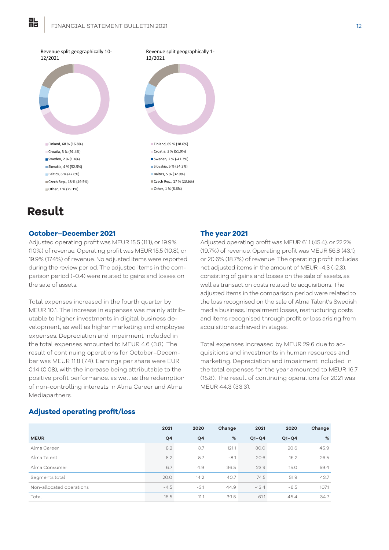

# **Result**

貼

## **October–December 2021**

Adjusted operating profit was MEUR 15.5 (11.1), or 19.9% (10%) of revenue. Operating profit was MEUR 15.5 (10.8), or 19.9% (17.4%) of revenue. No adjusted items were reported during the review period. The adjusted items in the comparison period (-0.4) were related to gains and losses on the sale of assets.

Total expenses increased in the fourth quarter by MEUR 10.1. The increase in expenses was mainly attributable to higher investments in digital business development, as well as higher marketing and employee expenses. Depreciation and impairment included in the total expenses amounted to MEUR 4.6 (3.8). The result of continuing operations for October–December was MEUR 11.8 (7.4). Earnings per share were EUR 0.14 (0.08), with the increase being attributable to the positive profit performance, as well as the redemption of non-controlling interests in Alma Career and Alma Mediapartners.

## **The year 2021**

Adjusted operating profit was MEUR 61.1 (45.4), or 22.2% (19.7%) of revenue. Operating profit was MEUR 56.8 (43.1), or 20.6% (18.7%) of revenue. The operating profit includes net adjusted items in the amount of MEUR -4.3 (-2.3), consisting of gains and losses on the sale of assets, as well as transaction costs related to acquisitions. The adjusted items in the comparison period were related to the loss recognised on the sale of Alma Talent's Swedish media business, impairment losses, restructuring costs and items recognised through profit or loss arising from acquisitions achieved in stages.

Total expenses increased by MEUR 29.6 due to acquisitions and investments in human resources and marketing. Depreciation and impairment included in the total expenses for the year amounted to MEUR 16.7 (15.8). The result of continuing operations for 2021 was MEUR 44.3 (33.3).

# **Adjusted operating profit/loss**

|                          | 2021   | 2020   | Change | 2021    | 2020    | Change |
|--------------------------|--------|--------|--------|---------|---------|--------|
| <b>MEUR</b>              | Q4     | Q4     | %      | $Q1-Q4$ | $Q1-Q4$ | %      |
| Alma Career              | 8.2    | 3.7    | 121.1  | 30.0    | 20.6    | 45.9   |
| Alma Talent              | 5.2    | 5.7    | $-8.1$ | 20.6    | 16.2    | 26.5   |
| Alma Consumer            | 6.7    | 4.9    | 36.5   | 23.9    | 15.0    | 59.4   |
| Segments total           | 20.0   | 14.2   | 40.7   | 74.5    | 51.9    | 43.7   |
| Non-allocated operations | $-4.5$ | $-3.1$ | 44.9   | $-13.4$ | $-6.5$  | 107.1  |
| Total                    | 15.5   | 11.1   | 39.5   | 61.1    | 45.4    | 34.7   |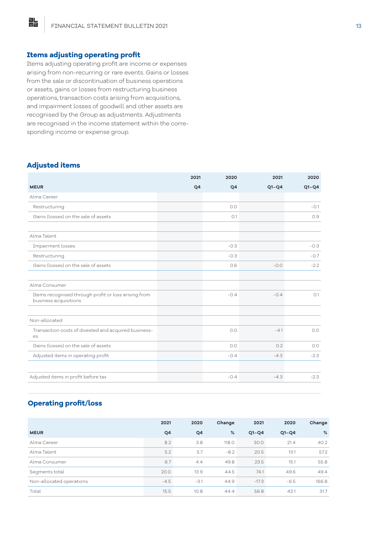# **Items adjusting operating profit**

Items adjusting operating profit are income or expenses arising from non-recurring or rare events. Gains or losses from the sale or discontinuation of business operations or assets, gains or losses from restructuring business operations, transaction costs arising from acquisitions, and impairment losses of goodwill and other assets are recognised by the Group as adjustments. Adjustments are recognised in the income statement within the corresponding income or expense group.

## **Adjusted items**

胋

|                                                                               | 2021 | 2020   | 2021    | 2020    |
|-------------------------------------------------------------------------------|------|--------|---------|---------|
| <b>MEUR</b>                                                                   | Q4   | Q4     | $Q1-Q4$ | $Q1-Q4$ |
| Alma Career                                                                   |      |        |         |         |
| Restructuring                                                                 |      | 0.0    |         | $-0.1$  |
| Gains (losses) on the sale of assets                                          |      | O.1    |         | 0.9     |
|                                                                               |      |        |         |         |
| Alma Talent                                                                   |      |        |         |         |
| Impairment losses                                                             |      | $-0.3$ |         | $-0.3$  |
| Restructuring                                                                 |      | $-0.3$ |         | $-0.7$  |
| Gains (losses) on the sale of assets                                          |      | 0.6    | $-0.0$  | $-2.2$  |
|                                                                               |      |        |         |         |
| Alma Consumer                                                                 |      |        |         |         |
| Items recognised through profit or loss arising from<br>business acquisitions |      | $-0.4$ | $-0.4$  | O.1     |
|                                                                               |      |        |         |         |
| Non-allocated                                                                 |      |        |         |         |
| Transaction costs of divested and acquired business-<br>es                    |      | 0.0    | $-4.1$  | 0.0     |
| Gains (losses) on the sale of assets                                          |      | 0.0    | 0.2     | O.O     |
| Adjusted items in operating profit                                            |      | $-0.4$ | $-4.3$  | $-2.3$  |
|                                                                               |      |        |         |         |
| Adjusted items in profit before tax                                           |      | $-0.4$ | $-4.3$  | $-2.3$  |

# **Operating profit/loss**

|                          | 2021   | 2020   | Change | 2021    | 2020    | Change |
|--------------------------|--------|--------|--------|---------|---------|--------|
| <b>MEUR</b>              | Q4     | Q4     | %      | $Q1-Q4$ | $Q1-Q4$ | %      |
| Alma Career              | 8.2    | 3.8    | 118.0  | 30.0    | 21.4    | 40.2   |
| Alma Talent              | 5.2    | 5.7    | $-8.2$ | 20.5    | 13.1    | 57.2   |
| Alma Consumer            | 6.7    | 4.4    | 49.8   | 23.5    | 15.1    | 55.8   |
| Segments total           | 20.0   | 13.9   | 44.5   | 74.1    | 49.6    | 49.4   |
| Non-allocated operations | $-4.5$ | $-3.1$ | 44.9   | $-17.3$ | $-6.5$  | 166.8  |
| Total                    | 15.5   | 10.8   | 44.4   | 56.8    | 43.1    | 31.7   |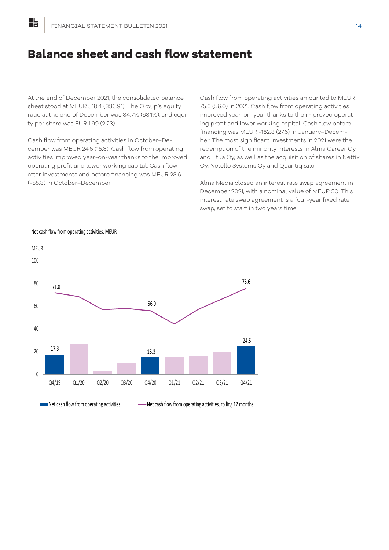# **Balance sheet and cash flow statement**

At the end of December 2021, the consolidated balance sheet stood at MEUR 518.4 (333.91). The Group's equity ratio at the end of December was 34.7% (63.1%), and equity per share was EUR 1.99 (2.23).

Cash flow from operating activities in October–December was MEUR 24.5 (15.3). Cash flow from operating activities improved year-on-year thanks to the improved operating profit and lower working capital. Cash flow after investments and before financing was MEUR 23.6 (-55.3) in October–December.

Cash flow from operating activities amounted to MEUR 75.6 (56.0) in 2021. Cash flow from operating activities improved year-on-year thanks to the improved operating profit and lower working capital. Cash flow before financing was MEUR -162.3 (27.6) in January–December. The most significant investments in 2021 were the redemption of the minority interests in Alma Career Oy and Etua Oy, as well as the acquisition of shares in Nettix Oy, Netello Systems Oy and Quantiq s.r.o.

Alma Media closed an interest rate swap agreement in December 2021, with a nominal value of MEUR 50. This interest rate swap agreement is a four-year fixed rate swap, set to start in two years time.



Net cash flow from operating activities, MEUR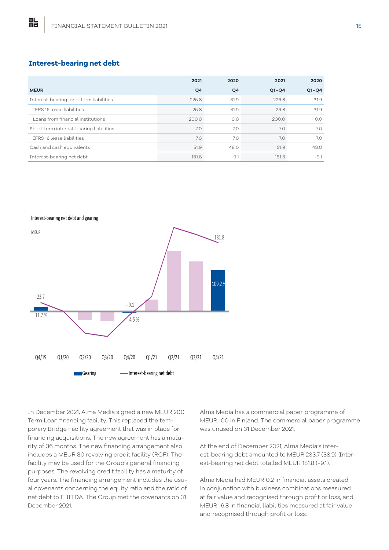# **Interest-bearing net debt**

點

|                                         | 2021  | 2020   | 2021    | 2020    |
|-----------------------------------------|-------|--------|---------|---------|
| <b>MEUR</b>                             | Q4    | Q4     | $Q1-Q4$ | $Q1-Q4$ |
| Interest-bearing long-term liabilities  | 226.8 | 31.9   | 226.8   | 31.9    |
| TERS 16 lease liabilities               | 26.8  | 31.9   | 26.8    | 31.9    |
| Loans from financial institutions       | 200.0 | O.O    | 200.0   | O.O     |
| Short-term interest-bearing liabilities | 7.0   | 7.0    | 7.0     | 7.0     |
| IFRS 16 lease liabilities               | 7.0   | 7.0    | 7.0     | 7.0     |
| Cash and cash equivalents               | 51.9  | 48.0   | 51.9    | 48.0    |
| Interest-bearing net debt               | 181.8 | $-9.1$ | 181.8   | $-9.1$  |

Interest-bearing net debt and gearing



In December 2021, Alma Media signed a new MEUR 200 Term Loan financing facility. This replaced the temporary Bridge Facility agreement that was in place for financing acquisitions. The new agreement has a maturity of 36 months. The new financing arrangement also includes a MEUR 30 revolving credit facility (RCF). The facility may be used for the Group's general financing purposes. The revolving credit facility has a maturity of four years. The financing arrangement includes the usual covenants concerning the equity ratio and the ratio of net debt to EBITDA. The Group met the covenants on 31 December 2021.

Alma Media has a commercial paper programme of MEUR 100 in Finland. The commercial paper programme was unused on 31 December 2021.

At the end of December 2021, Alma Media's interest-bearing debt amounted to MEUR 233.7 (38.9). Interest-bearing net debt totalled MEUR 181.8 (-9.1).

Alma Media had MEUR 0.2 in financial assets created in conjunction with business combinations measured at fair value and recognised through profit or loss, and MEUR 16.8 in financial liabilities measured at fair value and recognised through profit or loss.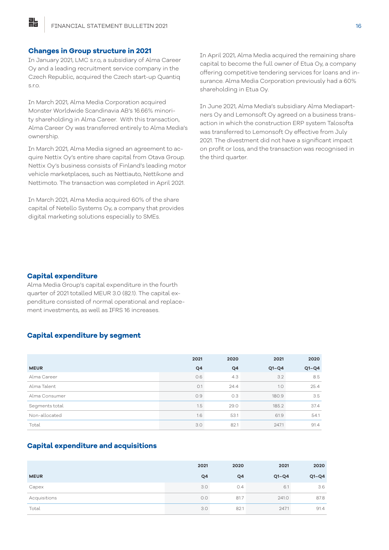# **Changes in Group structure in 2021**

點

In January 2021, LMC s.r.o, a subsidiary of Alma Career Oy and a leading recruitment service company in the Czech Republic, acquired the Czech start-up Quantiq s.r.o.

In March 2021, Alma Media Corporation acquired Monster Worldwide Scandinavia AB's 16.66% minority shareholding in Alma Career. With this transaction, Alma Career Oy was transferred entirely to Alma Media's ownership.

In March 2021, Alma Media signed an agreement to acquire Nettix Oy's entire share capital from Otava Group. Nettix Oy's business consists of Finland's leading motor vehicle marketplaces, such as Nettiauto, Nettikone and Nettimoto. The transaction was completed in April 2021.

In March 2021, Alma Media acquired 60% of the share capital of Netello Systems Oy, a company that provides digital marketing solutions especially to SMEs.

In April 2021, Alma Media acquired the remaining share capital to become the full owner of Etua Oy, a company offering competitive tendering services for loans and insurance. Alma Media Corporation previously had a 60% shareholding in Etua Oy.

In June 2021, Alma Media's subsidiary Alma Mediapartners Oy and Lemonsoft Oy agreed on a business transaction in which the construction ERP system Talosofta was transferred to Lemonsoft Oy effective from July 2021. The divestment did not have a significant impact on profit or loss, and the transaction was recognised in the third quarter.

### **Capital expenditure**

Alma Media Group's capital expenditure in the fourth quarter of 2021 totalled MEUR 3.0 (82.1). The capital expenditure consisted of normal operational and replacement investments, as well as IFRS 16 increases.

# **Capital expenditure by segment**

|                | 2021           | 2020           | 2021    | 2020    |
|----------------|----------------|----------------|---------|---------|
| <b>MEUR</b>    | Q <sub>4</sub> | Q <sub>4</sub> | $Q1-Q4$ | $Q1-Q4$ |
| Alma Career    | 0.6            | 4.3            | 3.2     | 8.5     |
| Alma Talent    | O.1            | 24.4           | 1.0     | 25.4    |
| Alma Consumer  | 0.9            | O.3            | 180.9   | 3.5     |
| Segments total | 1.5            | 29.0           | 185.2   | 37.4    |
| Non-allocated  | 1.6            | 53.1           | 61.9    | 54.1    |
| Total          | 3.0            | 82.1           | 247.1   | 91.4    |

# **Capital expenditure and acquisitions**

|              | 2021 | 2020 | 2021    | 2020    |
|--------------|------|------|---------|---------|
| <b>MEUR</b>  | Q4   | Q4   | $Q1-Q4$ | $Q1-Q4$ |
| Capex        | 3.0  | 0.4  | 6.1     | 3.6     |
| Acquisitions | 0.0  | 81.7 | 241.0   | 87.8    |
| Total        | 3.0  | 82.1 | 247.1   | 91.4    |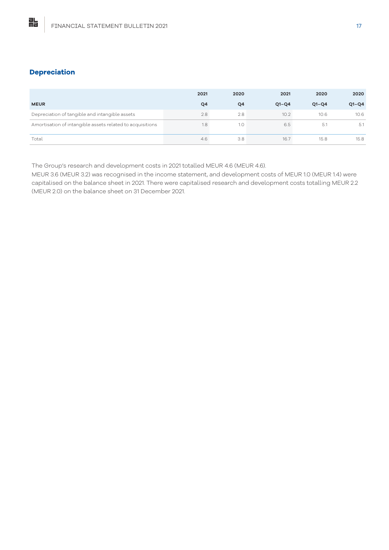# **Depreciation**

胋

|                                                           | 2021 | 2020           | 2021    | 2020    | 2020    |
|-----------------------------------------------------------|------|----------------|---------|---------|---------|
| <b>MEUR</b>                                               | Q4   | Q <sub>4</sub> | $Q1-Q4$ | $Q1-Q4$ | $Q1-Q4$ |
| Depreciation of tangible and intangible assets            | 2.8  | 2.8            | 10.2    | 10.6    | 10.6    |
| Amortisation of intangible assets related to acquisitions | 1.8  | 1.0            | 6.5     | 5.1     | 5.1     |
| Total                                                     | 4.6  | 3.8            | 16.7    | 15.8    | 15.8    |

The Group's research and development costs in 2021 totalled MEUR 4.6 (MEUR 4.6).

MEUR 3.6 (MEUR 3.2) was recognised in the income statement, and development costs of MEUR 1.0 (MEUR 1.4) were capitalised on the balance sheet in 2021. There were capitalised research and development costs totalling MEUR 2.2 (MEUR 2.0) on the balance sheet on 31 December 2021.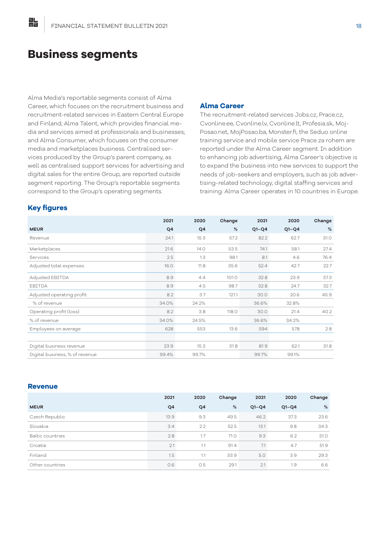# **Business segments**

Alma Media's reportable segments consist of Alma Career, which focuses on the recruitment business and recruitment-related services in Eastern Central Europe and Finland; Alma Talent, which provides financial media and services aimed at professionals and businesses; and Alma Consumer, which focuses on the consumer media and marketplaces business. Centralised services produced by the Group's parent company, as well as centralised support services for advertising and digital sales for the entire Group, are reported outside segment reporting. The Group's reportable segments correspond to the Group's operating segments.

#### **Alma Career**

The recruitment-related services Jobs.cz, Prace.cz, Cvonline.ee, Cvonline.lv, Cvonline.lt, Profesia.sk, Moj-Posao.net, MojPosao.ba, Monster.fi, the Seduo online training service and mobile service Prace za rohem are reported under the Alma Career segment. In addition to enhancing job advertising, Alma Career's objective is to expand the business into new services to support the needs of job-seekers and employers, such as job advertising-related technology, digital staffing services and training. Alma Career operates in 10 countries in Europe.

# **Key figures**

點

|                                | 2021  | 2020  | Change | 2021    | 2020    | Change |
|--------------------------------|-------|-------|--------|---------|---------|--------|
| <b>MEUR</b>                    | Q4    | Q4    | %      | $Q1-Q4$ | $Q1-Q4$ | $\%$   |
| Revenue                        | 24.1  | 15.3  | 57.2   | 82.2    | 62.7    | 31.0   |
| Marketplaces                   | 21.6  | 14.0  | 53.5   | 74.1    | 58.1    | 27.4   |
| Services                       | 2.5   | 1.3   | 98.1   | 8.1     | 4.6     | 76.4   |
| Adjusted total expenses        | 16.0  | 11.8  | 35.6   | 52.4    | 42.7    | 22.7   |
| Adjusted EBITDA                | 8.9   | 4.4   | 101.0  | 32.8    | 23.9    | 37.3   |
| EBITDA                         | 8.9   | 4.5   | 98.7   | 32.8    | 24.7    | 32.7   |
| Adjusted operating profit      | 8.2   | 3.7   | 121.1  | 30.0    | 20.6    | 45.9   |
| % of revenue                   | 34.0% | 24.2% |        | 36.6%   | 32.8%   |        |
| Operating profit (loss)        | 8.2   | 3.8   | 118.0  | 30.0    | 21.4    | 40.2   |
| % of revenue                   | 34.0% | 24.5% |        | 36.6%   | 34.2%   |        |
| Employees on average           | 628   | 553   | 13.6   | 594     | 578     | 2.8    |
|                                |       |       |        |         |         |        |
| Digital business revenue       | 23.9  | 15.3  | 31.8   | 81.9    | 62.1    | 31.8   |
| Digital business, % of revenue | 99.4% | 99.7% |        | 99.7%   | 99.1%   |        |

#### **Revenue**

|                         | 2021 | 2020 | Change | 2021    | 2020    | Change |
|-------------------------|------|------|--------|---------|---------|--------|
| <b>MEUR</b>             | Q4   | Q4   | $\%$   | $Q1-Q4$ | $Q1-Q4$ | %      |
| Czech Republic          | 13.9 | 9.3  | 49.5   | 46.2    | 37.3    | 23.6   |
| Slovakia                | 3.4  | 2.2  | 52.5   | 13.1    | 9.8     | 34.3   |
| <b>Baltic countries</b> | 2.8  | 1.7  | 71.0   | 9.3     | 6.2     | 51.0   |
| Croatia                 | 2.1  | 1.1  | 91.4   | 7.1     | 4.7     | 51.9   |
| Finland                 | 1.5  | 1.1  | 33.9   | 5.0     | 3.9     | 29.3   |
| Other countries         | 0.6  | 0.5  | 29.1   | 2.1     | 1.9     | 6.6    |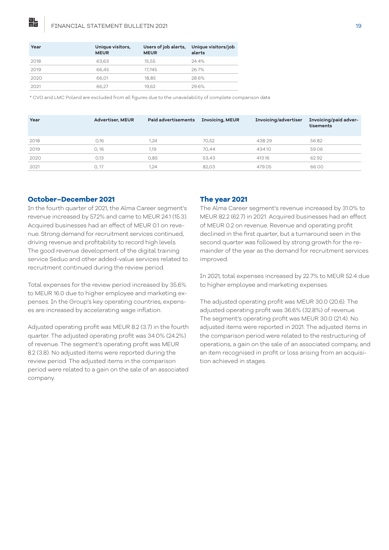晶

| Year | Unique visitors,<br><b>MEUR</b> | Users of job alerts,<br><b>MEUR</b> | Unique visitors/job<br>alerts |
|------|---------------------------------|-------------------------------------|-------------------------------|
| 2018 | 63,63                           | 15,55                               | 24.4%                         |
| 2019 | 66,45                           | 17.745                              | 26.7%                         |
| 2020 | 66,01                           | 18,85                               | 28.6%                         |
| 2021 | 66,27                           | 19,62                               | 29.6%                         |

\* CVO and LMC Poland are excluded from all figures due to the unavailability of complete comparison data

| Year | <b>Advertiser, MEUR</b> | Paid advertisements | <b>Invoicing, MEUR</b> | Invoicing/advertiser | Invoicing/paid adver-<br>tisements |
|------|-------------------------|---------------------|------------------------|----------------------|------------------------------------|
| 2018 | 0,16                    | 1,24                | 70,52                  | 438.29               | 56.82                              |
| 2019 | O, 16                   | 1,19                | 70,44                  | 434.10               | 59.06                              |
| 2020 | 0.13                    | 0.85                | 53,43                  | 413.16               | 62.92                              |
| 2021 | O.17                    | 1,24                | 82,03                  | 479.05               | 66.00                              |

# **October–December 2021**

In the fourth quarter of 2021, the Alma Career segment's revenue increased by 57.2% and came to MEUR 24.1 (15.3). Acquired businesses had an effect of MEUR 0.1 on revenue. Strong demand for recruitment services continued, driving revenue and profitability to record high levels. The good revenue development of the digital training service Seduo and other added-value services related to recruitment continued during the review period.

Total expenses for the review period increased by 35.6% to MEUR 16.0 due to higher employee and marketing expenses. In the Group's key operating countries, expenses are increased by accelerating wage inflation.

Adjusted operating profit was MEUR 8.2 (3.7) in the fourth quarter. The adjusted operating profit was 34.0% (24.2%) of revenue. The segment's operating profit was MEUR 8.2 (3.8). No adjusted items were reported during the review period. The adjusted items in the comparison period were related to a gain on the sale of an associated company.

#### **The year 2021**

The Alma Career segment's revenue increased by 31.0% to MEUR 82.2 (62.7) in 2021. Acquired businesses had an effect of MEUR 0.2 on revenue. Revenue and operating profit declined in the first quarter, but a turnaround seen in the second quarter was followed by strong growth for the remainder of the year as the demand for recruitment services improved.

In 2021, total expenses increased by 22.7% to MEUR 52.4 due to higher employee and marketing expenses.

The adjusted operating profit was MEUR 30.0 (20.6). The adjusted operating profit was 36.6% (32.8%) of revenue. The segment's operating profit was MEUR 30.0 (21.4). No adjusted items were reported in 2021. The adjusted items in the comparison period were related to the restructuring of operations, a gain on the sale of an associated company, and an item recognised in profit or loss arising from an acquisition achieved in stages.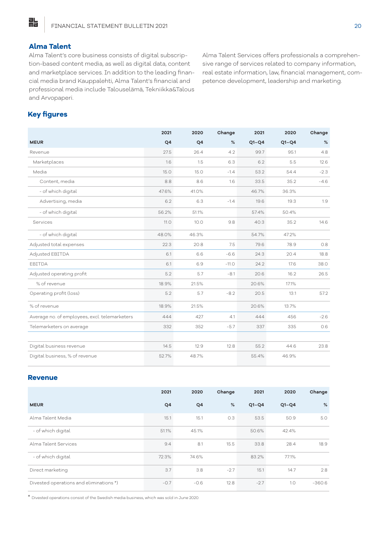# **Alma Talent**

胋

Alma Talent's core business consists of digital subscription-based content media, as well as digital data, content and marketplace services. In addition to the leading financial media brand Kauppalehti, Alma Talent's financial and professional media include Talouselämä, Tekniikka&Talous and Arvopaperi.

Alma Talent Services offers professionals a comprehensive range of services related to company information, real estate information, law, financial management, competence development, leadership and marketing.

# **Key figures**

|                                               | 2021           | 2020  | Change  | 2021    | 2020    | Change |
|-----------------------------------------------|----------------|-------|---------|---------|---------|--------|
| <b>MEUR</b>                                   | Q <sub>4</sub> | Q4    | $\%$    | $Q1-Q4$ | $Q1-Q4$ | %      |
| Revenue                                       | 27.5           | 26.4  | 4.2     | 99.7    | 95.1    | 4.8    |
| Marketplaces                                  | 1.6            | 1.5   | 6.3     | 6.2     | 5.5     | 12.6   |
| Media                                         | 15.0           | 15.0  | $-1.4$  | 53.2    | 54.4    | $-2.3$ |
| Content, media                                | 8.8            | 8.6   | 1.6     | 33.5    | 35.2    | $-4.6$ |
| - of which digital                            | 47.6%          | 41.0% |         | 46.7%   | 36.3%   |        |
| Advertising, media                            | 6.2            | 6.3   | $-1.4$  | 19.6    | 19.3    | 1.9    |
| - of which digital                            | 56.2%          | 51.1% |         | 57.4%   | 50.4%   |        |
| Services                                      | 11.0           | 10.0  | 9.8     | 40.3    | 35.2    | 14.6   |
| - of which digital                            | 48.0%          | 46.3% |         | 54.7%   | 47.2%   |        |
| Adjusted total expenses                       | 22.3           | 20.8  | 7.5     | 79.6    | 78.9    | 0.8    |
| Adjusted EBITDA                               | 6.1            | 6.6   | $-6.6$  | 24.3    | 20.4    | 18.8   |
| EBITDA                                        | 6.1            | 6.9   | $-11.0$ | 24.2    | 17.6    | 38.0   |
| Adjusted operating profit                     | 5.2            | 5.7   | $-8.1$  | 20.6    | 16.2    | 26.5   |
| % of revenue                                  | 18.9%          | 21.5% |         | 20.6%   | 17.1%   |        |
| Operating profit (loss)                       | 5.2            | 5.7   | $-8.2$  | 20.5    | 13.1    | 57.2   |
| % of revenue                                  | 18.9%          | 21.5% |         | 20.6%   | 13.7%   |        |
| Average no. of employees, excl. telemarketers | 444            | 427   | 4.1     | 444     | 456     | $-2.6$ |
| Telemarketers on average                      | 332            | 352   | $-5.7$  | 337     | 335     | 0.6    |
|                                               |                |       |         |         |         |        |
| Digital business revenue                      | 14.5           | 12.9  | 12.8    | 55.2    | 44.6    | 23.8   |
| Digital business, % of revenue                | 52.7%          | 48.7% |         | 55.4%   | 46.9%   |        |

#### **Revenue**

|                                        | 2021   | 2020           | Change | 2021    | 2020    | Change   |
|----------------------------------------|--------|----------------|--------|---------|---------|----------|
| <b>MEUR</b>                            | Q4     | Q <sub>4</sub> | %      | $Q1-Q4$ | $Q1-Q4$ | %        |
| Alma Talent Media                      | 15.1   | 15.1           | O.3    | 53.5    | 50.9    | 5.0      |
| - of which digital                     | 51.1%  | 45.1%          |        | 50.6%   | 42.4%   |          |
| Alma Talent Services                   | 9.4    | 8.1            | 15.5   | 33.8    | 28.4    | 18.9     |
| - of which digital                     | 72.3%  | 74.6%          |        | 83.2%   | 77.1%   |          |
| Direct marketing                       | 3.7    | 3.8            | $-2.7$ | 15.1    | 14.7    | 2.8      |
| Divested operations and eliminations*) | $-0.7$ | $-0.6$         | 12.8   | $-2.7$  | 1.0     | $-360.6$ |

\* Divested operations consist of the Swedish media business, which was sold in June 2020.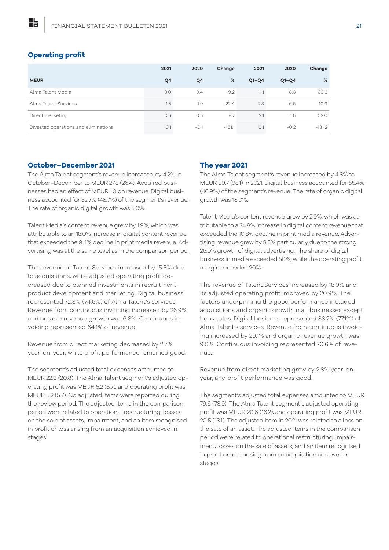# **Operating profit**

點

|                                      | 2021 | 2020   | Change   | 2021    | 2020    | Change   |
|--------------------------------------|------|--------|----------|---------|---------|----------|
| <b>MEUR</b>                          | Q4   | Q4     | %        | $Q1-Q4$ | $Q1-Q4$ | $\%$     |
| Alma Talent Media                    | 3.0  | 3.4    | $-9.2$   | 11.1    | 8.3     | 33.6     |
| Alma Talent Services                 | 1.5  | 1.9    | $-22.4$  | 7.3     | 6.6     | 10.9     |
| Direct marketing                     | 0.6  | 0.5    | 8.7      | 2.1     | 1.6     | 32.0     |
| Divested operations and eliminations | O.1  | $-0.1$ | $-161.1$ | O.1     | $-0.2$  | $-131.2$ |

### **October–December 2021**

The Alma Talent segment's revenue increased by 4.2% in October–December to MEUR 27.5 (26.4). Acquired businesses had an effect of MEUR 1.0 on revenue. Digital business accounted for 52.7% (48.7%) of the segment's revenue. The rate of organic digital growth was 5.0%.

Talent Media's content revenue grew by 1.9%, which was attributable to an 18.0% increase in digital content revenue that exceeded the 9.4% decline in print media revenue. Advertising was at the same level as in the comparison period.

The revenue of Talent Services increased by 15.5% due to acquisitions, while adjusted operating profit decreased due to planned investments in recruitment, product development and marketing. Digital business represented 72.3% (74.6%) of Alma Talent's services. Revenue from continuous invoicing increased by 26.9% and organic revenue growth was 6.3%. Continuous invoicing represented 64.1% of revenue.

Revenue from direct marketing decreased by 2.7% year-on-year, while profit performance remained good.

The segment's adjusted total expenses amounted to MEUR 22.3 (20.8). The Alma Talent segment's adjusted operating profit was MEUR 5.2 (5.7), and operating profit was MEUR 5.2 (5.7). No adjusted items were reported during the review period. The adjusted items in the comparison period were related to operational restructuring, losses on the sale of assets, impairment, and an item recognised in profit or loss arising from an acquisition achieved in stages.

#### **The year 2021**

The Alma Talent segment's revenue increased by 4.8% to MEUR 99.7 (95.1) in 2021. Digital business accounted for 55.4% (46.9%) of the segment's revenue. The rate of organic digital growth was 18.0%.

Talent Media's content revenue grew by 2.9%, which was attributable to a 24.8% increase in digital content revenue that exceeded the 10.8% decline in print media revenue. Advertising revenue grew by 8.5% particularly due to the strong 26.0% growth of digital advertising. The share of digital business in media exceeded 50%, while the operating profit margin exceeded 20%.

The revenue of Talent Services increased by 18.9% and its adjusted operating profit improved by 20.9%. The factors underpinning the good performance included acquisitions and organic growth in all businesses except book sales. Digital business represented 83.2% (77.1%) of Alma Talent's services. Revenue from continuous invoicing increased by 29.1% and organic revenue growth was 9.0%. Continuous invoicing represented 70.6% of revenue.

Revenue from direct marketing grew by 2.8% year-onyear, and profit performance was good.

The segment's adjusted total expenses amounted to MEUR 79.6 (78.9). The Alma Talent segment's adjusted operating profit was MEUR 20.6 (16.2), and operating profit was MEUR 20.5 (13.1). The adjusted item in 2021 was related to a loss on the sale of an asset. The adjusted items in the comparison period were related to operational restructuring, impairment, losses on the sale of assets, and an item recognised in profit or loss arising from an acquisition achieved in stages.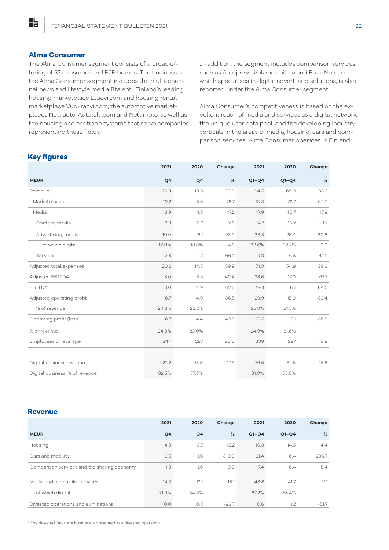# **Alma Consumer**

點

The Alma Consumer segment consists of a broad offering of 37 consumer and B2B brands. The business of the Alma Consumer segment includes the multi-channel news and lifestyle media Iltalehti, Finland's leading housing marketplace Etuovi.com and housing rental marketplace Vuokraovi.com, the automotive marketplaces Nettiauto, Autotalli.com and Nettimoto, as well as the housing and car trade systems that serve companies representing these fields.

In addition, the segment includes comparison services, such as Autojerry, Urakkamaailma and Etua. Netello, which specialises in digital advertising solutions, is also reported under the Alma Consumer segment.

Alma Consumer's competitiveness is based on the excellent reach of media and services as a digital network, the unique user data pool, and the developing industry verticals in the areas of media, housing, cars and comparison services. Alma Consumer operates in Finland.

# **Key figures**

|                                | 2021  | 2020  | Change | 2021    | 2020    | Change |
|--------------------------------|-------|-------|--------|---------|---------|--------|
| <b>MEUR</b>                    | Q4    | Q4    | $\%$   | $Q1-Q4$ | $Q1-Q4$ | $\%$   |
| Revenue                        | 26.9  | 19.3  | 39.0   | 94.5    | 69.9    | 35.2   |
| Marketplaces                   | 10.2  | 5.8   | 75.7   | 37.3    | 22.7    | 64.2   |
| Media                          | 13.9  | 11.8  | 17.2   | 47.9    | 40.7    | 17.9   |
| Content, media                 | 3.8   | 3.7   | 2.8    | 14.7    | 15.2    | $-3.7$ |
| Advertising, media             | 10.0  | 8.1   | 23.9   | 33.3    | 25.4    | 30.8   |
| - of which digital             | 89.1% | 93.6% | $-4.8$ | 88.6%   | 92.2%   | $-3.9$ |
| Services                       | 2.8   | 1.7   | 66.2   | 9.3     | 6.5     | 42.2   |
| Adjusted total expenses        | 20.2  | 14.5  | 39.9   | 71.0    | 54.9    | 29.3   |
| Adjusted EBITDA                | 8.0   | 5.3   | 49.4   | 28.6    | 17.0    | 67.7   |
| EBITDA                         | 8.0   | 4.9   | 62.6   | 28.1    | 17.1    | 64.5   |
| Adjusted operating profit      | 6.7   | 4.9   | 36.5   | 23.9    | 15.0    | 59.4   |
| % of revenue                   | 24.8% | 25.2% |        | 25.3%   | 21.5%   |        |
| Operating profit (loss)        | 6.7   | 4.4   | 49.8   | 23.5    | 15.1    | 55.8   |
| % of revenue                   | 24.8% | 23.0% |        | 24.9%   | 21.6%   |        |
| Employees on average           | 344   | 287   | 20.0   | 339     | 297     | 13.9   |
|                                |       |       |        |         |         |        |
| Digital business revenue       | 22.2  | 15.0  | 47.4   | 76.6    | 52.6    | 45.5   |
| Digital business, % of revenue | 82.5% | 77.8% |        | 81.0%   | 75.3%   |        |

#### **Revenue**

.

|                                             | 2021  | 2020  | Change  | 2021    | 2020    | Change  |
|---------------------------------------------|-------|-------|---------|---------|---------|---------|
| <b>MEUR</b>                                 | Q4    | Q4    | %       | $Q1-Q4$ | $Q1-Q4$ | %       |
| Housing                                     | 4.3   | 3.7   | 15.2    | 16.3    | 14.3    | 14.4    |
| Cars and mobility                           | 6.5   | 1.6   | 310.9   | 21.4    | 6.4     | 236.7   |
| Comparison services and the sharing economy | 1.8   | 1.6   | 10.9    | 7.4     | 6.4     | 15.4    |
| Media and media-like services               | 14.3  | 12.1  | 18.1    | 48.8    | 41.7    | 17.1    |
| - of which digital                          | 71.9% | 64.6% |         | 67.2%   | 58.4%   |         |
| Divested operations and eliminations *      | O.O   | O.3   | $-93.7$ | 0.6     | 1.2     | $-51.7$ |

\* The divested Talosofta business is presented as a divested operation.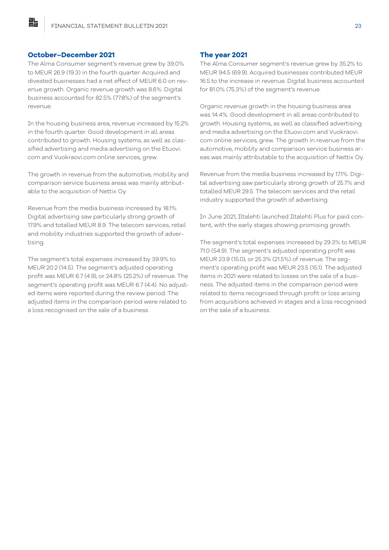#### **October–December 2021**

點

The Alma Consumer segment's revenue grew by 39.0% to MEUR 26.9 (19.3) in the fourth quarter. Acquired and divested businesses had a net effect of MEUR 6.0 on revenue growth. Organic revenue growth was 8.6%. Digital business accounted for 82.5% (77.8%) of the segment's revenue.

In the housing business area, revenue increased by 15.2% in the fourth quarter. Good development in all areas contributed to growth. Housing systems, as well as classified advertising and media advertising on the Etuovi. com and Vuokraovi.com online services, grew.

The growth in revenue from the automotive, mobility and comparison service business areas was mainly attributable to the acquisition of Nettix Oy.

Revenue from the media business increased by 18.1%. Digital advertising saw particularly strong growth of 17.9% and totalled MEUR 8.9. The telecom services, retail and mobility industries supported the growth of advertising.

The segment's total expenses increased by 39.9% to MEUR 20.2 (14.5). The segment's adjusted operating profit was MEUR 6.7 (4.9), or 24.8% (25.2%) of revenue. The segment's operating profit was MEUR 6.7 (4.4). No adjusted items were reported during the review period. The adjusted items in the comparison period were related to a loss recognised on the sale of a business.

#### **The year 2021**

The Alma Consumer segment's revenue grew by 35.2% to MEUR 94.5 (69.9). Acquired businesses contributed MEUR 16.5 to the increase in revenue. Digital business accounted for 81.0% (75.3%) of the segment's revenue.

Organic revenue growth in the housing business area was 14.4%. Good development in all areas contributed to growth. Housing systems, as well as classified advertising and media advertising on the Etuovi.com and Vuokraovi. com online services, grew. The growth in revenue from the automotive, mobility and comparison service business areas was mainly attributable to the acquisition of Nettix Oy.

Revenue from the media business increased by 17.1%. Digital advertising saw particularly strong growth of 25.7% and totalled MEUR 29.5. The telecom services and the retail industry supported the growth of advertising.

In June 2021, Iltalehti launched Iltalehti Plus for paid content, with the early stages showing promising growth.

The segment's total expenses increased by 29.3% to MEUR 71.0 (54.9). The segment's adjusted operating profit was MEUR 23.9 (15.0), or 25.3% (21.5%) of revenue. The segment's operating profit was MEUR 23.5 (15.1). The adjusted items in 2021 were related to losses on the sale of a business. The adjusted items in the comparison period were related to items recognised through profit or loss arising from acquisitions achieved in stages and a loss recognised on the sale of a business.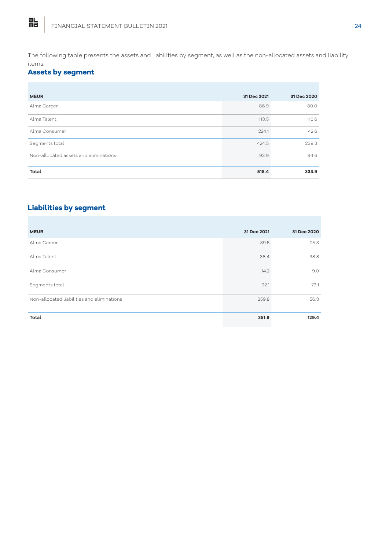The following table presents the assets and liabilities by segment, as well as the non-allocated assets and liability items:

# **Assets by segment**

| <b>MEUR</b>                           | 31 Dec 2021 | 31 Dec 2020 |
|---------------------------------------|-------------|-------------|
| Alma Career                           | 86.9        | 80.0        |
| Alma Talent                           | 113.5       | 116.6       |
| Alma Consumer                         | 224.1       | 42.6        |
| Segments total                        | 424.5       | 239.3       |
| Non-allocated assets and eliminations | 93.9        | 94.6        |
| Total                                 | 518.4       | 333.9       |

# **Liabilities by segment**

| <b>MEUR</b>                                | 31 Dec 2021 | 31 Dec 2020 |
|--------------------------------------------|-------------|-------------|
| Alma Career                                | 39.5        | 25.3        |
| Alma Talent                                | 38.4        | 38.8        |
| Alma Consumer                              | 14.2        | 9.0         |
| Segments total                             | 92.1        | 73.1        |
| Non-allocated liabilities and eliminations | 259.8       | 56.3        |
| Total                                      | 351.9       | 129.4       |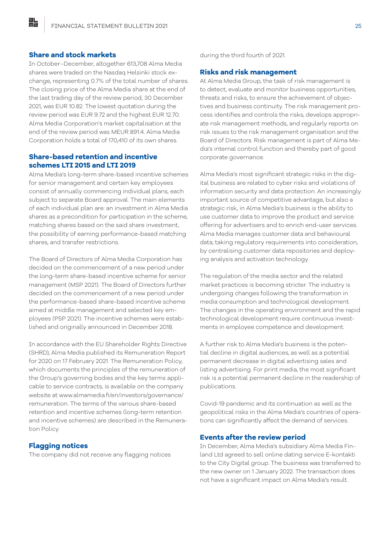### **Share and stock markets**

點

In October–December, altogether 613,708 Alma Media shares were traded on the Nasdaq Helsinki stock exchange, representing 0.7% of the total number of shares. The closing price of the Alma Media share at the end of the last trading day of the review period, 30 December 2021, was EUR 10.82. The lowest quotation during the review period was EUR 9.72 and the highest EUR 12.70. Alma Media Corporation's market capitalisation at the end of the review period was MEUR 891.4. Alma Media Corporation holds a total of 170,410 of its own shares.

# **Share-based retention and incentive schemes LTI 2015 and LTI 2019**

Alma Media's long-term share-based incentive schemes for senior management and certain key employees consist of annually commencing individual plans, each subject to separate Board approval. The main elements of each individual plan are: an investment in Alma Media shares as a precondition for participation in the scheme, matching shares based on the said share investment, the possibility of earning performance-based matching shares, and transfer restrictions.

The Board of Directors of Alma Media Corporation has decided on the commencement of a new period under the long-term share-based incentive scheme for senior management (MSP 2021). The Board of Directors further decided on the commencement of a new period under the performance-based share-based incentive scheme aimed at middle management and selected key employees (PSP 2021). The incentive schemes were established and originally announced in December 2018.

In accordance with the EU Shareholder Rights Directive (SHRD), Alma Media published its Remuneration Report for 2020 on 17 February 2021. The Remuneration Policy, which documents the principles of the remuneration of the Group's governing bodies and the key terms applicable to service contracts, is available on the company website at www.almamedia.fi/en/investors/governance/ remuneration. The terms of the various share-based retention and incentive schemes (long-term retention and incentive schemes) are described in the Remuneration Policy.

# **Flagging notices**

The company did not receive any flagging notices

during the third fourth of 2021.

#### **Risks and risk management**

At Alma Media Group, the task of risk management is to detect, evaluate and monitor business opportunities, threats and risks, to ensure the achievement of objectives and business continuity. The risk management process identifies and controls the risks, develops appropriate risk management methods, and regularly reports on risk issues to the risk management organisation and the Board of Directors. Risk management is part of Alma Media's internal control function and thereby part of good corporate governance.

Alma Media's most significant strategic risks in the digital business are related to cyber risks and violations of information security and data protection. An increasingly important source of competitive advantage, but also a strategic risk, in Alma Media's business is the ability to use customer data to improve the product and service offering for advertisers and to enrich end-user services. Alma Media manages customer data and behavioural data, taking regulatory requirements into consideration, by centralising customer data repositories and deploying analysis and activation technology.

The regulation of the media sector and the related market practices is becoming stricter. The industry is undergoing changes following the transformation in media consumption and technological development. The changes in the operating environment and the rapid technological development require continuous investments in employee competence and development.

A further risk to Alma Media's business is the potential decline in digital audiences, as well as a potential permanent decrease in digital advertising sales and listing advertising. For print media, the most significant risk is a potential permanent decline in the readership of publications.

Covid-19 pandemic and its continuation as well as the geopolitical risks in the Alma Media's countries of operations can significantly affect the demand of services.

#### **Events after the review period**

In December, Alma Media's subsidiary Alma Media Finland Ltd agreed to sell online dating service E-kontakti to the City Digital group. The business was transferred to the new owner on 1 January 2022. The transaction does not have a significant impact on Alma Media's result.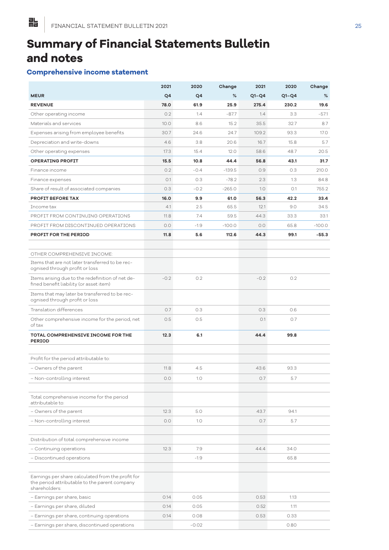# **Summary of Financial Statements Bulletin and notes**

# **Comprehensive income statement**

|                                                                                                                     | 2021   | 2020    | Change   | 2021    | 2020    | Change   |
|---------------------------------------------------------------------------------------------------------------------|--------|---------|----------|---------|---------|----------|
| <b>MEUR</b>                                                                                                         | Q4     | Q4      | %        | $Q1-Q4$ | $Q1-Q4$ | %        |
| <b>REVENUE</b>                                                                                                      | 78.0   | 61.9    | 25.9     | 275.4   | 230.2   | 19.6     |
| Other operating income                                                                                              | 0.2    | 1.4     | $-87.7$  | 1.4     | 3.3     | $-57.1$  |
| Materials and services                                                                                              | 10.0   | 8.6     | 15.2     | 35.5    | 32.7    | 8.7      |
| Expenses arising from employee benefits                                                                             | 30.7   | 24.6    | 24.7     | 109.2   | 93.3    | 17.0     |
| Depreciation and write-downs                                                                                        | 4.6    | 3.8     | 20.6     | 16.7    | 15.8    | 5.7      |
| Other operating expenses                                                                                            | 17.3   | 15.4    | 12.0     | 58.6    | 48.7    | 20.5     |
| <b>OPERATING PROFIT</b>                                                                                             | 15.5   | 10.8    | 44.4     | 56.8    | 43.1    | 31.7     |
| Finance income                                                                                                      | 0.2    | $-0.4$  | $-139.5$ | 0.9     | 0.3     | 210.0    |
| Finance expenses                                                                                                    | O.1    | 0.3     | $-78.2$  | 2.3     | 1.3     | 84.8     |
| Share of result of associated companies                                                                             | 0.3    | $-0.2$  | $-265.0$ | 1.0     | O.1     | 755.2    |
| <b>PROFIT BEFORE TAX</b>                                                                                            | 16.0   | 9.9     | 61.0     | 56.3    | 42.2    | 33.4     |
| Income tax                                                                                                          | 4.1    | 2.5     | 65.5     | 12.1    | 9.0     | 34.5     |
| PROFIT FROM CONTINUING OPERATIONS                                                                                   | 11.8   | 7.4     | 59.5     | 44.3    | 33.3    | 33.1     |
| PROFIT FROM DISCONTINUED OPERATIONS                                                                                 | 0.0    | $-1.9$  | $-100.0$ | O.O     | 65.8    | $-100.0$ |
| PROFIT FOR THE PERIOD                                                                                               | 11.8   | 5.6     | 112.6    | 44.3    | 99.1    | $-55.3$  |
|                                                                                                                     |        |         |          |         |         |          |
| OTHER COMPREHENSIVE INCOME:                                                                                         |        |         |          |         |         |          |
| Items that are not later transferred to be rec-<br>ognised through profit or loss                                   |        |         |          |         |         |          |
| Items arising due to the redefinition of net de-<br>fined benefit liability (or asset item)                         | $-0.2$ | 0.2     |          | $-0.2$  | 0.2     |          |
| Items that may later be transferred to be rec-<br>ognised through profit or loss                                    |        |         |          |         |         |          |
| Translation differences                                                                                             | 0.7    | 0.3     |          | 0.3     | 0.6     |          |
| Other comprehensive income for the period, net<br>of tax                                                            | 0.5    | 0.5     |          | O.1     | 0.7     |          |
| TOTAL COMPREHENSIVE INCOME FOR THE<br><b>PERIOD</b>                                                                 | 12.3   | 6.1     |          | 44.4    | 99.8    |          |
| Profit for the period attributable to:                                                                              |        |         |          |         |         |          |
| - Owners of the parent                                                                                              | 11.8   | 4.5     |          | 43.6    | 93.3    |          |
| - Non-controlling interest                                                                                          | 0.0    | 1.0     |          | 0.7     | 5.7     |          |
| Total comprehensive income for the period<br>attributable to:                                                       |        |         |          |         |         |          |
| - Owners of the parent                                                                                              | 12.3   | 5.0     |          | 43.7    | 94.1    |          |
| - Non-controlling interest                                                                                          | 0.0    | 1.0     |          | 0.7     | 5.7     |          |
|                                                                                                                     |        |         |          |         |         |          |
| Distribution of total comprehensive income                                                                          |        |         |          |         |         |          |
| - Continuing operations                                                                                             | 12.3   | 7.9     |          | 44.4    | 34.0    |          |
| - Discontinued operations                                                                                           |        | $-1.9$  |          |         | 65.8    |          |
|                                                                                                                     |        |         |          |         |         |          |
| Earnings per share calculated from the profit for<br>the period attributable to the parent company<br>shareholders: |        |         |          |         |         |          |
| – Earnings per share, basic                                                                                         | 0.14   | 0.05    |          | 0.53    | 1.13    |          |
| - Earnings per share, diluted                                                                                       | 0.14   | 0.05    |          | 0.52    | 1.11    |          |
| - Earnings per share, continuing operations                                                                         | 0.14   | 0.08    |          | 0.53    | 0.33    |          |
| - Earnings per share, discontinued operations                                                                       |        | $-0.02$ |          |         | 0.80    |          |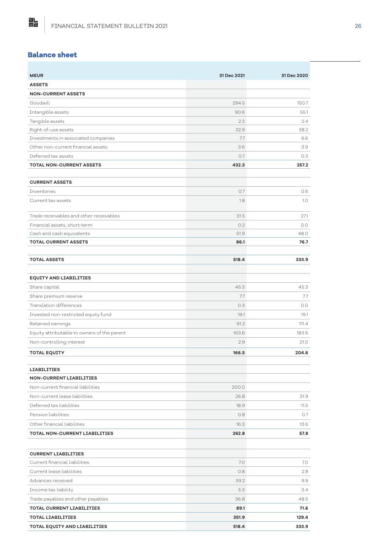# **Balance sheet**

| <b>MEUR</b>                                 | 31 Dec 2021 | 31 Dec 2020 |
|---------------------------------------------|-------------|-------------|
| <b>ASSETS</b>                               |             |             |
| <b>NON-CURRENT ASSETS</b>                   |             |             |
| Goodwill                                    | 294.5       | 150.7       |
| Intangible assets                           | 90.6        | 55.1        |
| Tangible assets                             | 2.3         | 2.4         |
| Right-of-use assets                         | 32.9        | 38.2        |
| Investments in associated companies         | 7.7         | 6.6         |
| Other non-current financial assets          | 3.6         | 3.9         |
| Deferred tax assets                         | 0.7         | 0.3         |
| <b>TOTAL NON-CURRENT ASSETS</b>             | 432.3       | 257.2       |
|                                             |             |             |
| <b>CURRENT ASSETS</b>                       |             |             |
| Inventories                                 | 0.7         | 0.6         |
| Current tax assets                          | 1.8         | 1.0         |
| Trade receivables and other receivables     | 31.5        | 27.1        |
| Financial assets, short-term                | 0.2         | O.O         |
| Cash and cash equivalents                   | 51.9        | 48.0        |
| <b>TOTAL CURRENT ASSETS</b>                 | 86.1        | 76.7        |
|                                             |             |             |
| <b>TOTAL ASSETS</b>                         | 518.4       | 333.9       |
| <b>EQUITY AND LIABILITIES</b>               |             |             |
| Share capital                               | 45.3        | 45.3        |
| Share premium reserve                       | 7.7         | 7.7         |
| Translation differences                     | 0.3         | 0.0         |
| Invested non-restricted equity fund         | 19.1        | 19.1        |
| Retained earnings                           | 91.2        | 111.4       |
| Equity attributable to owners of the parent | 163.6       | 183.6       |
| Non-controlling interest                    | 2.9         | 21.0        |
| <b>TOTAL EQUITY</b>                         | 166.5       | 204.6       |
| <b>LIABILITIES</b>                          |             |             |
| <b>NON-CURRENT LIABILITIES</b>              |             |             |
| Non-current financial liabilities           | 200.0       |             |
| Non-current lease liabilities               | 26.8        | 31.9        |
| Deferred tax liabilities                    | 18.9        | 11.5        |
| Pension liabilities                         | 0.8         | 0.7         |
| Other financial liabilities                 | 16.3        | 13.6        |
| TOTAL NON-CURRENT LIABILITIES               | 262.8       | 57.8        |
|                                             |             |             |
| <b>CURRENT LIABILITIES</b>                  |             |             |
| Current financial liabilities               | 7.0         | 7.0         |
| Current lease liabilities                   | 0.8         | 2.8         |
| Advances received                           | 39.2        | 9.9         |
| Income tax liability                        | 5.3         | 3.4         |
| Trade payables and other payables           | 36.8        | 48.5        |
| <b>TOTAL CURRENT LIABILITIES</b>            | 89.1        | 71.6        |
| <b>TOTAL LIABILITIES</b>                    | 351.9       | 129.4       |
| TOTAL EQUITY AND LIABILITIES                | 518.4       | 333.9       |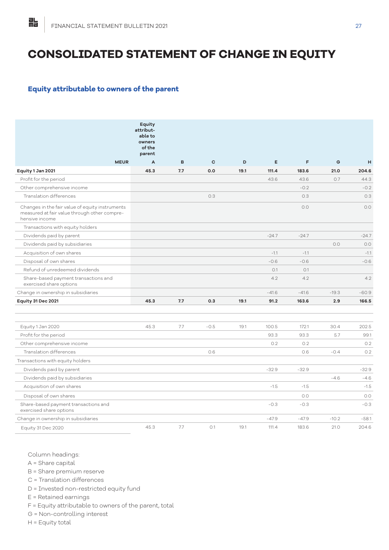# **CONSOLIDATED STATEMENT OF CHANGE IN EQUITY**

# **Equity attributable to owners of the parent**

|                                                                                                                   | Equity<br>attribut-<br>able to<br>owners<br>of the<br>parent |          |                     |           |            |            |           |            |
|-------------------------------------------------------------------------------------------------------------------|--------------------------------------------------------------|----------|---------------------|-----------|------------|------------|-----------|------------|
| <b>MEUR</b><br>Equity 1 Jan 2021                                                                                  | A<br>45.3                                                    | B<br>7.7 | $\mathbf{C}$<br>0.0 | D<br>19.1 | E<br>111.4 | F<br>183.6 | G<br>21.0 | H<br>204.6 |
| Profit for the period                                                                                             |                                                              |          |                     |           | 43.6       | 43.6       | 0.7       | 44.3       |
| Other comprehensive income                                                                                        |                                                              |          |                     |           |            | $-0.2$     |           | $-0.2$     |
| Translation differences                                                                                           |                                                              |          | 0.3                 |           |            | 0.3        |           | 0.3        |
| Changes in the fair value of equity instruments<br>measured at fair value through other compre-<br>hensive income |                                                              |          |                     |           |            | 0.0        |           | 0.0        |
| Transactions with equity holders                                                                                  |                                                              |          |                     |           |            |            |           |            |
| Dividends paid by parent                                                                                          |                                                              |          |                     |           | $-24.7$    | $-24.7$    |           | $-24.7$    |
| Dividends paid by subsidiaries                                                                                    |                                                              |          |                     |           |            |            | O.O       | O.O        |
| Acquisition of own shares                                                                                         |                                                              |          |                     |           | $-1.1$     | $-1.1$     |           | $-1.1$     |
| Disposal of own shares                                                                                            |                                                              |          |                     |           | $-0.6$     | $-0.6$     |           | $-0.6$     |
| Refund of unredeemed dividends                                                                                    |                                                              |          |                     |           | O.1        | O.1        |           |            |
| Share-based payment transactions and<br>exercised share options                                                   |                                                              |          |                     |           | 4.2        | 4.2        |           | 4.2        |
| Change in ownership in subsidiaries                                                                               |                                                              |          |                     |           | $-41.6$    | $-41.6$    | $-19.3$   | $-60.9$    |
| Equity 31 Dec 2021                                                                                                | 45.3                                                         | 7.7      | 0.3                 | 19.1      | 91.2       | 163.6      | 2.9       | 166.5      |
|                                                                                                                   |                                                              |          |                     |           |            |            |           |            |
| Equity 1 Jan 2020                                                                                                 | 45.3                                                         | 7.7      | $-0.5$              | 19.1      | 100.5      | 172.1      | 30.4      | 202.5      |
| Profit for the period                                                                                             |                                                              |          |                     |           | 93.3       | 93.3       | 5.7       | 99.1       |
| Other comprehensive income                                                                                        |                                                              |          |                     |           | 0.2        | 0.2        |           | 0.2        |
| Translation differences                                                                                           |                                                              |          | 0.6                 |           |            | 0.6        | $-0.4$    | 0.2        |
| Transactions with equity holders                                                                                  |                                                              |          |                     |           |            |            |           |            |
| Dividends paid by parent                                                                                          |                                                              |          |                     |           | $-32.9$    | $-32.9$    |           | $-32.9$    |
| Dividends paid by subsidiaries                                                                                    |                                                              |          |                     |           |            |            | $-4.6$    | $-4.6$     |
| Acquisition of own shares                                                                                         |                                                              |          |                     |           | $-1.5$     | $-1.5$     |           | $-1.5$     |
| Disposal of own shares                                                                                            |                                                              |          |                     |           |            | 0.0        |           | O.O        |
| Share-based payment transactions and<br>exercised share options                                                   |                                                              |          |                     |           | $-0.3$     | $-0.3$     |           | $-0.3$     |
| Change in ownership in subsidiaries                                                                               |                                                              |          |                     |           | $-47.9$    | $-47.9$    | $-10.2$   | $-58.1$    |
| Equity 31 Dec 2020                                                                                                | 45.3                                                         | 7.7      | O.1                 | 19.1      | 111.4      | 183.6      | 21.0      | 204.6      |

Column headings:

A = Share capital

B = Share premium reserve

C = Translation differences

D = Invested non-restricted equity fund

E = Retained earnings

F = Equity attributable to owners of the parent, total

G = Non-controlling interest

H = Equity total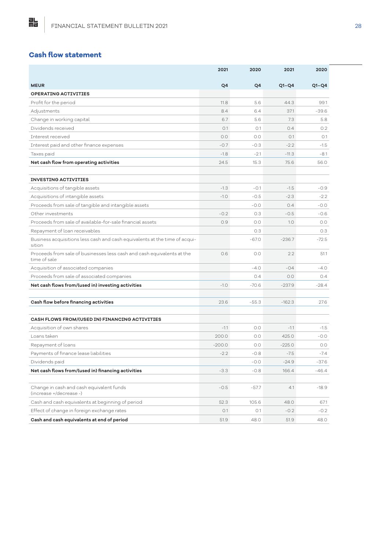# **Cash flow statement**

|                                                                                        | 2021     | 2020    | 2021     | 2020    |
|----------------------------------------------------------------------------------------|----------|---------|----------|---------|
| <b>MEUR</b>                                                                            | Q4       | Q4      | $Q1-Q4$  | $Q1-Q4$ |
| <b>OPERATING ACTIVITIES</b>                                                            |          |         |          |         |
| Profit for the period                                                                  | 11.8     | 5.6     | 44.3     | 99.1    |
| Adjustments                                                                            | 8.4      | 6.4     | 37.1     | $-39.6$ |
| Change in working capital                                                              | 6.7      | 5.6     | 7.3      | 5.8     |
| Dividends received                                                                     | O.1      | O.1     | 0.4      | 0.2     |
| Interest received                                                                      | 0.0      | 0.0     | O.1      | 0.1     |
| Interest paid and other finance expenses                                               | $-0.7$   | $-0.3$  | $-2.2$   | $-1.5$  |
| Taxes paid                                                                             | $-1.8$   | $-2.1$  | $-11.3$  | $-8.1$  |
| Net cash flow from operating activities                                                | 24.5     | 15.3    | 75.6     | 56.0    |
|                                                                                        |          |         |          |         |
| <b>INVESTING ACTIVITIES</b>                                                            |          |         |          |         |
| Acquisitions of tangible assets                                                        | $-1.3$   | $-0.1$  | $-1.5$   | $-0.9$  |
| Acquisitions of intangible assets                                                      | $-1.0$   | $-0.5$  | $-2.3$   | $-2.2$  |
| Proceeds from sale of tangible and intangible assets                                   |          | $-0.0$  | 0.4      | $-0.0$  |
| Other investments                                                                      | $-0.2$   | 0.3     | $-0.5$   | $-0.6$  |
| Proceeds from sale of available-for-sale financial assets                              | 0.9      | 0.0     | 1.0      | 0.0     |
| Repayment of loan receivables                                                          |          | 0.3     |          | 0.3     |
| Business acquisitions less cash and cash equivalents at the time of acqui-<br>sition   |          | $-67.0$ | $-236.7$ | $-72.5$ |
| Proceeds from sale of businesses less cash and cash equivalents at the<br>time of sale | 0.6      | 0.0     | 2.2      | 51.1    |
| Acquisition of associated companies                                                    |          | $-4.0$  | $-04$    | $-4.0$  |
| Proceeds from sale of associated companies                                             |          | 0.4     | 0.0      | 0.4     |
| Net cash flows from/(used in) investing activities                                     | $-1.0$   | $-70.6$ | $-237.9$ | $-28.4$ |
| Cash flow before financing activities                                                  | 23.6     | $-55.3$ | $-162.3$ | 27.6    |
| CASH FLOWS FROM/(USED IN) FINANCING ACTIVITIES                                         |          |         |          |         |
| Acquisition of own shares                                                              | $-1.1$   | 0.0     | $-1.1$   | -1.5    |
| Loans taken                                                                            | 200.0    | 0.0     | 425.0    | $-0.0$  |
| Repayment of loans                                                                     | $-200.0$ | 0.0     | $-225.0$ | 0.0     |
| Payments of finance lease liabilities                                                  | $-2.2$   | $-0.8$  | $-7.5$   | $-7.4$  |
| Dividends paid                                                                         |          | $-0.0$  | $-24.9$  | $-37.6$ |
| Net cash flows from/(used in) financing activities                                     | $-3.3$   | $-0.8$  | 166.4    | $-46.4$ |
|                                                                                        |          |         |          |         |
| Change in cash and cash equivalent funds<br>(increase +/decrease -)                    | $-0.5$   | $-57.7$ | 4.1      | $-18.9$ |
| Cash and cash equivalents at beginning of period                                       | 52.3     | 105.6   | 48.0     | 67.1    |
| Effect of change in foreign exchange rates                                             | O.1      | O.1     | $-0.2$   | $-0.2$  |
| Cash and cash equivalents at end of period                                             | 51.9     | 48.0    | 51.9     | 48.0    |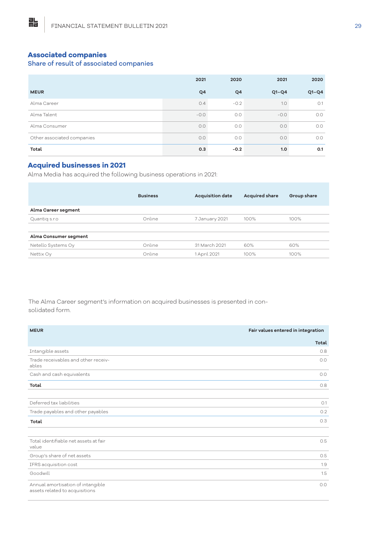# **Associated companies**

# Share of result of associated companies

|                            | 2021   | 2020           | 2021    | 2020    |
|----------------------------|--------|----------------|---------|---------|
| <b>MEUR</b>                | Q4     | Q <sub>4</sub> | $Q1-Q4$ | $Q1-Q4$ |
| Alma Career                | 0.4    | $-0.2$         | 1.0     | O.1     |
| Alma Talent                | $-0.0$ | 0.0            | $-0.0$  | 0.0     |
| Alma Consumer              | O.O    | 0.0            | 0.0     | 0.0     |
| Other associated companies | 0.0    | 0.0            | O.O     | O.O     |
| Total                      | 0.3    | $-0.2$         | 1.0     | 0.1     |

# **Acquired businesses in 2021**

Alma Media has acquired the following business operations in 2021:

|                       | <b>Business</b> | <b>Acquisition date</b> | <b>Acquired share</b> | Group share |
|-----------------------|-----------------|-------------------------|-----------------------|-------------|
| Alma Career segment   |                 |                         |                       |             |
| Quantig s.r.o         | Online          | 7 January 2021          | 100%                  | 100%        |
|                       |                 |                         |                       |             |
| Alma Consumer segment |                 |                         |                       |             |
| Netello Systems Oy    | Online          | 31 March 2021           | 60%                   | 60%         |
| Nettix Oy             | Online          | 1 April 2021            | 100%                  | 100%        |
|                       |                 |                         |                       |             |

The Alma Career segment's information on acquired businesses is presented in consolidated form.

| <b>MEUR</b>                                                         | Fair values entered in integration |
|---------------------------------------------------------------------|------------------------------------|
|                                                                     | Total                              |
| Intangible assets                                                   | 0.8                                |
| Trade receivables and other receiv-<br>ables                        | O.O                                |
| Cash and cash equivalents                                           | 0.0                                |
| Total                                                               | 0.8                                |
|                                                                     |                                    |
| Deferred tax liabilities                                            | O.1                                |
| Trade payables and other payables                                   | 0.2                                |
| Total                                                               | O.3                                |
|                                                                     |                                    |
| Total identifiable net assets at fair<br>value                      | 0.5                                |
| Group's share of net assets                                         | 0.5                                |
| IFRS acquisition cost                                               | 1.9                                |
| Goodwill                                                            | 1.5                                |
| Annual amortisation of intangible<br>assets related to acquisitions | O.O                                |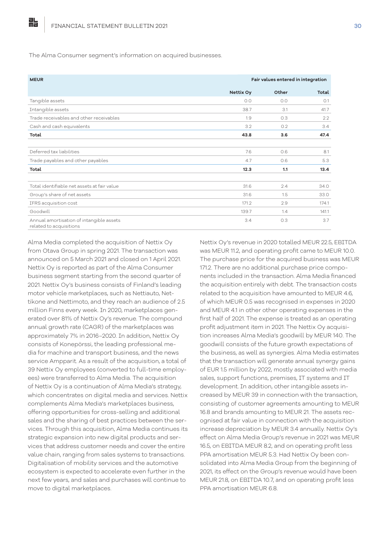點

The Alma Consumer segment's information on acquired businesses.

| <b>MEUR</b>                                                         | Fair values entered in integration |       |       |  |
|---------------------------------------------------------------------|------------------------------------|-------|-------|--|
|                                                                     | Nettix Oy                          | Other | Total |  |
| Tangible assets                                                     | O.O                                | 0.0   | O.1   |  |
| Intangible assets                                                   | 38.7                               | 3.1   | 41.7  |  |
| Trade receivables and other receivables                             | 1.9                                | 0.3   | 2.2   |  |
| Cash and cash equivalents                                           | 3.2                                | O.2   | 3.4   |  |
| Total                                                               | 43.8                               | 3.6   | 47.4  |  |
|                                                                     |                                    |       |       |  |
| Deferred tax liabilities                                            | 7.6                                | 0.6   | 8.1   |  |
| Trade payables and other payables                                   | 4.7                                | O.6   | 5.3   |  |
| Total                                                               | 12.3                               | 1.1   | 13.4  |  |
|                                                                     |                                    |       |       |  |
| Total identifiable net assets at fair value                         | 31.6                               | 2.4   | 34.0  |  |
| Group's share of net assets                                         | 31.6                               | 1.5   | 33.0  |  |
| IFRS acquisition cost                                               | 171.2                              | 2.9   | 174.1 |  |
| Goodwill                                                            | 139.7                              | 1.4   | 141.1 |  |
| Annual amortisation of intangible assets<br>related to acquisitions | 3.4                                | 0.3   | 3.7   |  |

Alma Media completed the acquisition of Nettix Oy from Otava Group in spring 2021. The transaction was announced on 5 March 2021 and closed on 1 April 2021. Nettix Oy is reported as part of the Alma Consumer business segment starting from the second quarter of 2021. Nettix Oy's business consists of Finland's leading motor vehicle marketplaces, such as Nettiauto, Nettikone and Nettimoto, and they reach an audience of 2.5 million Finns every week. In 2020, marketplaces generated over 81% of Nettix Oy's revenue. The compound annual growth rate (CAGR) of the marketplaces was approximately 7% in 2016–2020. In addition, Nettix Oy consists of Konepörssi, the leading professional media for machine and transport business, and the news service Ampparit. As a result of the acquisition, a total of 39 Nettix Oy employees (converted to full-time employees) were transferred to Alma Media. The acquisition of Nettix Oy is a continuation of Alma Media's strategy, which concentrates on digital media and services. Nettix complements Alma Media's marketplaces business, offering opportunities for cross-selling and additional sales and the sharing of best practices between the services. Through this acquisition, Alma Media continues its strategic expansion into new digital products and services that address customer needs and cover the entire value chain, ranging from sales systems to transactions. Digitalisation of mobility services and the automotive ecosystem is expected to accelerate even further in the next few years, and sales and purchases will continue to move to digital marketplaces.

Nettix Oy's revenue in 2020 totalled MEUR 22.5, EBITDA was MEUR 11.2, and operating profit came to MEUR 10.0. The purchase price for the acquired business was MEUR 171.2. There are no additional purchase price components included in the transaction. Alma Media financed the acquisition entirely with debt. The transaction costs related to the acquisition have amounted to MEUR 4.6, of which MEUR 0.5 was recognised in expenses in 2020 and MEUR 4.1 in other other operating expenses in the first half of 2021. The expense is treated as an operating profit adjustment item in 2021. The Nettix Oy acquisition increases Alma Media's goodwill by MEUR 140. The goodwill consists of the future growth expectations of the business, as well as synergies. Alma Media estimates that the transaction will generate annual synergy gains of EUR 1.5 million by 2022, mostly associated with media sales, support functions, premises, IT systems and IT development. In addition, other intangible assets increased by MEUR 39 in connection with the transaction, consisting of customer agreements amounting to MEUR 16.8 and brands amounting to MEUR 21. The assets recognised at fair value in connection with the acquisition increase depreciation by MEUR 3.4 annually. Nettix Oy's effect on Alma Media Group's revenue in 2021 was MEUR 16.5, on EBITDA MEUR 8.2, and on operating profit less PPA amortisation MEUR 5.3. Had Nettix Oy been consolidated into Alma Media Group from the beginning of 2021, its effect on the Group's revenue would have been MEUR 21.8, on EBITDA 10.7, and on operating profit less PPA amortisation MEUR 6.8.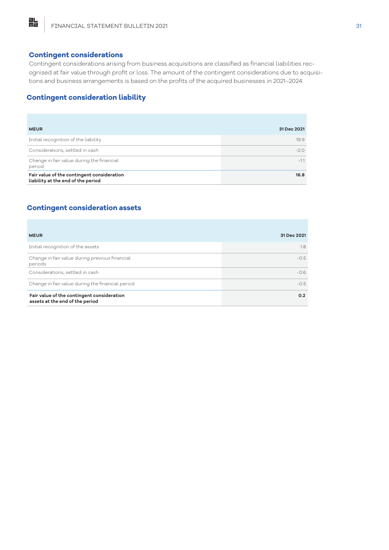# **Contingent considerations**

胋

Contingent considerations arising from business acquisitions are classified as financial liabilities recognised at fair value through profit or loss. The amount of the contingent considerations due to acquisitions and business arrangements is based on the profits of the acquired businesses in 2021–2024.

# **Contingent consideration liability**

| <b>MEUR</b>                                                                      | 31 Dec 2021 |
|----------------------------------------------------------------------------------|-------------|
| Initial recognition of the liability                                             | 19.9        |
| Considerations, settled in cash                                                  | $-2.0$      |
| Change in fair value during the financial<br>period                              | $-1.1$      |
| Fair value of the contingent consideration<br>liability at the end of the period | 16.8        |

# **Contingent consideration assets**

| <b>MEUR</b>                                                                   | 31 Dec 2021 |
|-------------------------------------------------------------------------------|-------------|
| Initial recognition of the assets                                             | 1.8         |
| Change in fair value during previous financial<br>periods                     | $-0.5$      |
| Considerations, settled in cash                                               | $-0.6$      |
| Change in fair value during the financial period                              | $-0.5$      |
| Fair value of the contingent consideration<br>assets at the end of the period | 0.2         |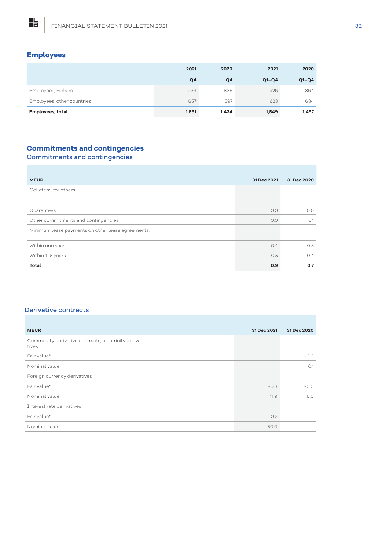

# **Employees**

|                            | 2021  | 2020  | 2021    | 2020    |
|----------------------------|-------|-------|---------|---------|
|                            | Q4    | Q4    | $Q1-Q4$ | $Q1-Q4$ |
| Employees, Finland         | 933   | 836   | 926     | 864     |
| Employees, other countries | 657   | 597   | 623     | 634     |
| Employees, total           | 1,591 | 1,434 | 1,549   | 1,497   |

# **Commitments and contingencies**

Commitments and contingencies

| <b>MEUR</b>                                       | 31 Dec 2021 | 31 Dec 2020 |
|---------------------------------------------------|-------------|-------------|
| Collateral for others                             |             |             |
|                                                   |             |             |
| Guarantees                                        | 0.0         | O.O         |
| Other commitments and contingencies               | O.O         | O.1         |
| Minimum lease payments on other lease agreements: |             |             |
| Within one year                                   | 0.4         | 0.3         |
| Within 1-5 years                                  | O.5         | 0.4         |
| Total                                             | 0.9         | 0.7         |

#### Derivative contracts

| <b>MEUR</b>                                                  | 31 Dec 2021 | 31 Dec 2020 |
|--------------------------------------------------------------|-------------|-------------|
| Commodity derivative contracts, electricity deriva-<br>tives |             |             |
| Fair value*                                                  |             | $-0.0$      |
| Nominal value                                                |             | O.1         |
| Foreign currency derivatives                                 |             |             |
| Fair value*                                                  | $-0.3$      | $-0.0$      |
| Nominal value                                                | 11.9        | 6.0         |
| Interest rate derivatives                                    |             |             |
| Fair value*                                                  | O.2         |             |
| Nominal value                                                | 50.0        |             |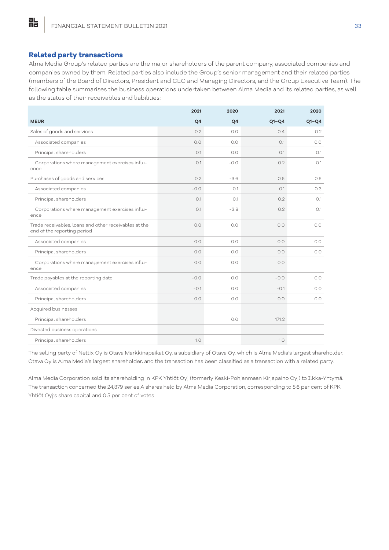# **Related party transactions**

點

Alma Media Group's related parties are the major shareholders of the parent company, associated companies and companies owned by them. Related parties also include the Group's senior management and their related parties (members of the Board of Directors, President and CEO and Managing Directors, and the Group Executive Team). The following table summarises the business operations undertaken between Alma Media and its related parties, as well as the status of their receivables and liabilities:

|                                                                                      | 2021   | 2020           | 2021    | 2020    |
|--------------------------------------------------------------------------------------|--------|----------------|---------|---------|
| <b>MEUR</b>                                                                          | Q4     | Q <sub>4</sub> | $Q1-Q4$ | $Q1-Q4$ |
| Sales of goods and services                                                          | 0.2    | 0.0            | 0.4     | 0.2     |
| Associated companies                                                                 | O.O    | 0.0            | O.1     | O.O     |
| Principal shareholders                                                               | O.1    | 0.0            | O.1     | O.1     |
| Corporations where management exercises influ-<br>ence                               | O.1    | $-0.0$         | 0.2     | O.1     |
| Purchases of goods and services                                                      | 0.2    | $-3.6$         | 0.6     | 0.6     |
| Associated companies                                                                 | $-0.0$ | O.1            | O.1     | 0.3     |
| Principal shareholders                                                               | O.1    | O.1            | 0.2     | O.1     |
| Corporations where management exercises influ-<br>ence                               | O.1    | $-3.8$         | 0.2     | O.1     |
| Trade receivables, loans and other receivables at the<br>end of the reporting period | 0.0    | 0.0            | 0.0     | 0.0     |
| Associated companies                                                                 | 0.0    | 0.0            | 0.0     | 0.0     |
| Principal shareholders                                                               | 0.0    | 0.0            | 0.0     | O.O     |
| Corporations where management exercises influ-<br>ence                               | 0.0    | 0.0            | 0.0     |         |
| Trade payables at the reporting date                                                 | $-0.0$ | 0.0            | $-0.0$  | 0.0     |
| Associated companies                                                                 | $-0.1$ | 0.0            | $-0.1$  | O.O     |
| Principal shareholders                                                               | O.O    | 0.0            | O.O     | 0.0     |
| Acquired businesses                                                                  |        |                |         |         |
| Principal shareholders                                                               |        | 0.0            | 171.2   |         |
| Divested business operations                                                         |        |                |         |         |
| Principal shareholders                                                               | 1.0    |                | 1.0     |         |

The selling party of Nettix Oy is Otava Markkinapaikat Oy, a subsidiary of Otava Oy, which is Alma Media's largest shareholder. Otava Oy is Alma Media's largest shareholder, and the transaction has been classified as a transaction with a related party.

Alma Media Corporation sold its shareholding in KPK Yhtiöt Oyj (formerly Keski-Pohjanmaan Kirjapaino Oyj) to Ilkka-Yhtymä. The transaction concerned the 24,379 series A shares held by Alma Media Corporation, corresponding to 5.6 per cent of KPK Yhtiöt Oyj's share capital and 0.5 per cent of votes.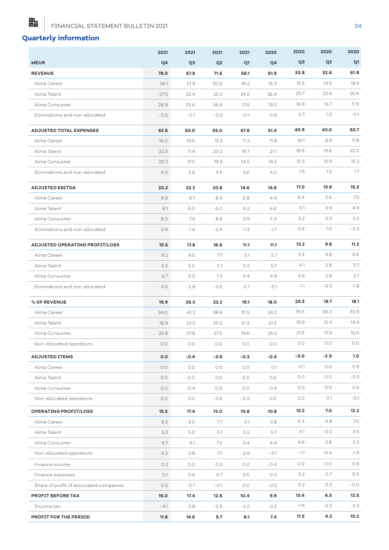# **Quarterly information**

點

|                                         | 2021   | 2021           | 2021           | 2021           | 2020   | 2020           | 2020           | 2020    |
|-----------------------------------------|--------|----------------|----------------|----------------|--------|----------------|----------------|---------|
| <b>MEUR</b>                             | Q4     | Q <sub>3</sub> | Q <sub>2</sub> | Q <sub>1</sub> | Q4     | Q <sub>3</sub> | Q <sub>2</sub> | Q1      |
| <b>REVENUE</b>                          | 78.0   | 67.8           | 71.6           | 58.1           | 61.9   | 53.8           | 52.6           | 61.9    |
| Alma Career                             | 24.1   | 21.9           | 20.0           | 16.2           | 15.3   | 15.5           | 13.5           | 18.4    |
| Alma Talent                             | 27.5   | 22.4           | 25.2           | 24.5           | 26.4   | 20.7           | 22.4           | 25.6    |
| Alma Consumer                           | 26.9   | 23.6           | 26.6           | 17.5           | 19.3   | 16.9           | 15.7           | 17.9    |
| Eliminations and non-allocated          | $-0.5$ | $-0.1$         | $-0.2$         | $-0.1$         | 0.9    | 0.7            | 1.0            | $-0.1$  |
| <b>ADJUSTED TOTAL EXPENSES</b>          | 62.6   | 50.0           | 55.0           | 47.9           | 51.4   | 40.9           | 43.0           | 50.7    |
| Alma Career                             | 16.0   | 13.0           | 12.2           | 11.2           | 11.8   | 10.1           | 8.9            | 11.8    |
| Alma Talent                             | 22.3   | 17.4           | 20.2           | 19.7           | 21.1   | 16.6           | 19.6           | 22.0    |
| Alma Consumer                           | 20.2   | 17.0           | 19.3           | 14.5           | 14.5   | 12.3           | 12.9           | 15.2    |
| Eliminations and non-allocated          | 4.0    | 2.6            | 3.4            | 2.6            | 4.0    | 1.9            | 1.5            | 1.7     |
| <b>ADJUSTED EBITDA</b>                  | 20.2   | 22.2           | 20.8           | 14.6           | 14.6   | 17.0           | 13.8           | 15.3    |
| Alma Career                             | 8.9    | 9.7            | 8.4            | 5.8            | 4.4    | 6.4            | 5.6            | 7.5     |
| Alma Talent                             | 6.1    | 6.0            | 6.0            | 6.2            | 6.6    | 5.1            | 3.9            | 4.9     |
| Alma Consumer                           | 8.0    | 7.9            | 8.8            | 3.9            | 5.3    | 5.2            | 3.3            | 3.2     |
| Eliminations and non-allocated          | $-2.9$ | $-1.4$         | $-2.4$         | $-1.3$         | $-1.7$ | 0.4            | 1.0            | $-0.2$  |
| <b>ADJUSTED OPERATING PROFIT/LOSS</b>   | 15.5   | 17.8           | 16.6           | 11.1           | 11.1   | 13.2           | 9.8            | 11.2    |
| Alma Career                             | 8.2    | 9.0            | 7.7            | 5.1            | 3.7    | 5.5            | 4.8            | 6.6     |
| Alma Talent                             | 5.2    | 5.0            | 5.1            | 5.2            | 5.7    | 4.1            | 2.8            | 3.7     |
| Alma Consumer                           | 6.7    | 6.5            | 7.3            | 3.4            | 4.9    | 4.6            | 2.8            | 2.7     |
| Eliminations and non-allocated          | $-4.5$ | $-2.8$         | $-3.5$         | $-2.7$         | $-3.1$ | $-1.1$         | $-0.5$         | $-1.8$  |
| % OF REVENUE                            | 19.9   | 26.3           | 23.2           | 19.1           | 18.0   | 24.5           | 18.7           | 18.1    |
| Alma Career                             | 34.0   | 41.2           | 38.6           | 31.5           | 24.2   | 35.5           | 35.3           | 35.9    |
| Alma Talent                             | 18.9   | 22.5           | 20.2           | 21.3           | 21.5   | 19.9           | 12.4           | 14.4    |
| Alma Consumer                           | 24.8   | 27.8           | 27.5           | 19.6           | 25.2   | 27.5           | 17.9           | 15.0    |
| Non-allocated operations                | 0.0    | 0.0            | 0.0            | 0.0            | 0.0    | $0.0\,$        | 0.0            | $O.O$   |
| <b>ADJUSTED ITEMS</b>                   | 0.0    | $-0.4$         | $-3.6$         | $-0.3$         | $-0.4$ | $-0.0$         | $-2.9$         | $1.0\,$ |
| Alma Career                             | $O.O$  | 0.0            | 0.0            | 0.0            | O.1    | $-0.1$         | 0.0            | 0.9     |
| Alma Talent                             | 0.0    | $-0.0$         | 0.0            | 0.0            | O.O    | 0.0            | $-3.0$         | $-0.2$  |
| Alma Consumer                           | 0.0    | $-0.4$         | 0.0            | 0.0            | $-0.4$ | 0.0            | 0.0            | 0.5     |
| Non-allocated operations                | 0.0    | 0.0            | $-3.6$         | $-0.3$         | 0.0    | 0.0            | O.1            | $-0.1$  |
| <b>OPERATING PROFIT/LOSS</b>            | 15.5   | 17.4           | 13.0           | 10.8           | 10.8   | 13.2           | 7.0            | 12.2    |
| Alma Career                             | 8.2    | 9.0            | 7.7            | 5.1            | 3.8    | 5.4            | 4.8            | 7.5     |
| Alma Talent                             | 5.2    | 5.0            | 5.1            | 5.2            | 5.7    | 4.1            | $-0.2$         | $3.5\,$ |
| Alma Consumer                           | 6.7    | 6.1            | 7.3            | 3.4            | 4.4    | 4.6            | 2.8            | 3.2     |
| Non-allocated operations                | $-4.5$ | $-2.8$         | $-7.1$         | $-2.9$         | $-3.1$ | $-1.1$         | $-0.4$         | $-1.9$  |
| Finance income                          | 0.2    | 0.0            | 0.3            | 0.0            | $-0.4$ | O.O            | 0.0            | 0.6     |
| Finance expenses                        | O.1    | 0.6            | 0.7            | 0.5            | 0.3    | 0.2            | 0.7            | 0.3     |
| Share of profit of associated companies | 0.3    | 0.7            | $-0.1$         | 0.0            | $-0.2$ | 0.2            | 0.2            | $-0.0$  |
| PROFIT BEFORE TAX                       | 16.0   | 17.4           | 12.6           | 10.4           | 9.9    | 13.4           | 6.5            | 12.5    |
| Income tax                              | $-4.1$ | $-2.8$         | $-2.9$         | $-2.2$         | $-2.5$ | $-1.9$         | $-2.3$         | $-2.3$  |
| PROFIT FOR THE PERIOD                   | 11.8   | 14.6           | 9.7            | 8.1            | 7.4    | 11.5           | 4.2            | 10.2    |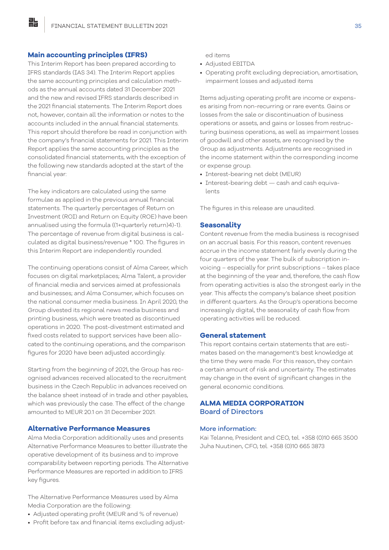#### **Main accounting principles (IFRS)**

點

This Interim Report has been prepared according to IFRS standards (IAS 34). The Interim Report applies the same accounting principles and calculation methods as the annual accounts dated 31 December 2021 and the new and revised IFRS standards described in the 2021 financial statements. The Interim Report does not, however, contain all the information or notes to the accounts included in the annual financial statements. This report should therefore be read in conjunction with the company's financial statements for 2021. This Interim Report applies the same accounting principles as the consolidated financial statements, with the exception of the following new standards adopted at the start of the financial year:

The key indicators are calculated using the same formulae as applied in the previous annual financial statements. The quarterly percentages of Return on Investment (ROI) and Return on Equity (ROE) have been annualised using the formula ((1+quarterly return)4)-1). The percentage of revenue from digital business is calculated as digital business/revenue \* 100. The figures in this Interim Report are independently rounded.

The continuing operations consist of Alma Career, which focuses on digital marketplaces; Alma Talent, a provider of financial media and services aimed at professionals and businesses; and Alma Consumer, which focuses on the national consumer media business. In April 2020, the Group divested its regional news media business and printing business, which were treated as discontinued operations in 2020. The post-divestment estimated and fixed costs related to support services have been allocated to the continuing operations, and the comparison figures for 2020 have been adjusted accordingly.

Starting from the beginning of 2021, the Group has recognised advances received allocated to the recruitment business in the Czech Republic in advances received on the balance sheet instead of in trade and other payables, which was previously the case. The effect of the change amounted to MEUR 20.1 on 31 December 2021.

# **Alternative Performance Measures**

Alma Media Corporation additionally uses and presents Alternative Performance Measures to better illustrate the operative development of its business and to improve comparability between reporting periods. The Alternative Performance Measures are reported in addition to IFRS key figures.

The Alternative Performance Measures used by Alma Media Corporation are the following:

- Adjusted operating profit (MEUR and % of revenue)
- Profit before tax and financial items excluding adjust-

ed items

- Adjusted EBITDA
- Operating profit excluding depreciation, amortisation, impairment losses and adjusted items

Items adjusting operating profit are income or expenses arising from non-recurring or rare events. Gains or losses from the sale or discontinuation of business operations or assets, and gains or losses from restructuring business operations, as well as impairment losses of goodwill and other assets, are recognised by the Group as adjustments. Adjustments are recognised in the income statement within the corresponding income or expense group.

- Interest-bearing net debt (MEUR)
- Interest-bearing debt cash and cash equivalents

The figures in this release are unaudited.

#### **Seasonality**

Content revenue from the media business is recognised on an accrual basis. For this reason, content revenues accrue in the income statement fairly evenly during the four quarters of the year. The bulk of subscription invoicing – especially for print subscriptions – takes place at the beginning of the year and, therefore, the cash flow from operating activities is also the strongest early in the year. This affects the company's balance sheet position in different quarters. As the Group's operations become increasingly digital, the seasonality of cash flow from operating activities will be reduced.

#### **General statement**

This report contains certain statements that are estimates based on the management's best knowledge at the time they were made. For this reason, they contain a certain amount of risk and uncertainty. The estimates may change in the event of significant changes in the general economic conditions.

# **ALMA MEDIA CORPORATION** Board of Directors

#### More information:

Kai Telanne, President and CEO, tel. +358 (0)10 665 3500 Juha Nuutinen, CFO, tel. +358 (0)10 665 3873